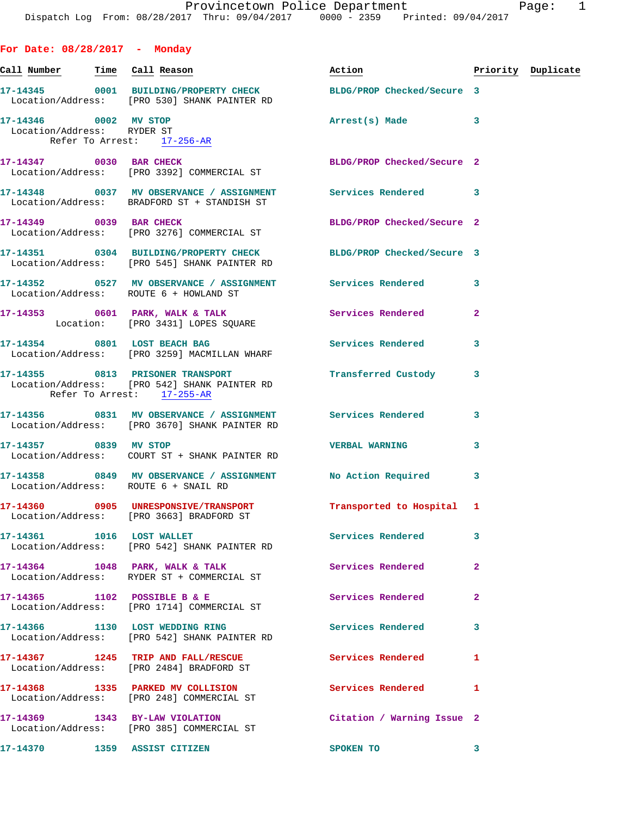| For Date: $08/28/2017 -$ Monday |                                                                                   |                                                                                                                                                                                                                                |                |                    |
|---------------------------------|-----------------------------------------------------------------------------------|--------------------------------------------------------------------------------------------------------------------------------------------------------------------------------------------------------------------------------|----------------|--------------------|
|                                 | <u>Call Number — Time Call Reason</u>                                             | Action and the set of the set of the set of the set of the set of the set of the set of the set of the set of the set of the set of the set of the set of the set of the set of the set of the set of the set of the set of th |                | Priority Duplicate |
|                                 | Location/Address: [PRO 530] SHANK PAINTER RD                                      | 17-14345 0001 BUILDING/PROPERTY CHECK BLDG/PROP Checked/Secure 3                                                                                                                                                               |                |                    |
|                                 | 17-14346 0002 MV STOP<br>Location/Address: RYDER ST<br>Refer To Arrest: 17-256-AR | Arrest(s) Made 3                                                                                                                                                                                                               |                |                    |
|                                 | 17-14347 0030 BAR CHECK<br>Location/Address: [PRO 3392] COMMERCIAL ST             | BLDG/PROP Checked/Secure 2                                                                                                                                                                                                     |                |                    |
|                                 |                                                                                   | 17-14348 0037 MV OBSERVANCE / ASSIGNMENT Services Rendered 3<br>Location/Address: BRADFORD ST + STANDISH ST                                                                                                                    |                |                    |
|                                 | 17-14349 0039 BAR CHECK<br>Location/Address: [PRO 3276] COMMERCIAL ST             | BLDG/PROP Checked/Secure 2                                                                                                                                                                                                     |                |                    |
|                                 | Location/Address: [PRO 545] SHANK PAINTER RD                                      | 17-14351 0304 BUILDING/PROPERTY CHECK BLDG/PROP Checked/Secure 3                                                                                                                                                               |                |                    |
|                                 | Location/Address: ROUTE 6 + HOWLAND ST                                            | 17-14352 0527 MV OBSERVANCE / ASSIGNMENT Services Rendered 3                                                                                                                                                                   |                |                    |
|                                 | Location: [PRO 3431] LOPES SQUARE                                                 | 17-14353 0601 PARK, WALK & TALK 3 Services Rendered                                                                                                                                                                            | $\overline{a}$ |                    |
|                                 | 17-14354 0801 LOST BEACH BAG<br>Location/Address: [PRO 3259] MACMILLAN WHARF      | Services Rendered                                                                                                                                                                                                              | 3              |                    |
|                                 | Location/Address: [PRO 542] SHANK PAINTER RD<br>Refer To Arrest: 17-255-AR        | 17-14355 0813 PRISONER TRANSPORT <b>Fransferred Custody</b> 3                                                                                                                                                                  |                |                    |
|                                 | Location/Address: [PRO 3670] SHANK PAINTER RD                                     | 17-14356 6831 MV OBSERVANCE / ASSIGNMENT Services Rendered                                                                                                                                                                     | 3              |                    |
| 17-14357 0839 MV STOP           | Location/Address: COURT ST + SHANK PAINTER RD                                     | <b>VERBAL WARNING</b>                                                                                                                                                                                                          | $\mathbf{3}$   |                    |
|                                 | Location/Address: ROUTE 6 + SNAIL RD                                              | 17-14358 0849 MV OBSERVANCE / ASSIGNMENT No Action Required 3                                                                                                                                                                  |                |                    |
|                                 | Location/Address: [PRO 3663] BRADFORD ST                                          | 17-14360 0905 UNRESPONSIVE/TRANSPORT Transported to Hospital 1                                                                                                                                                                 |                |                    |
|                                 | 17-14361 1016 LOST WALLET<br>Location/Address: [PRO 542] SHANK PAINTER RD         | <b>Services Rendered</b>                                                                                                                                                                                                       | 3              |                    |
|                                 | 17-14364 1048 PARK, WALK & TALK<br>Location/Address: RYDER ST + COMMERCIAL ST     | Services Rendered                                                                                                                                                                                                              | $\overline{a}$ |                    |
|                                 | 17-14365 1102 POSSIBLE B & E<br>Location/Address: [PRO 1714] COMMERCIAL ST        | Services Rendered                                                                                                                                                                                                              | $\overline{a}$ |                    |
|                                 | 17-14366 1130 LOST WEDDING RING<br>Location/Address: [PRO 542] SHANK PAINTER RD   | <b>Services Rendered</b>                                                                                                                                                                                                       | 3              |                    |
|                                 | 17-14367 1245 TRIP AND FALL/RESCUE<br>Location/Address: [PRO 2484] BRADFORD ST    | Services Rendered                                                                                                                                                                                                              | 1              |                    |
|                                 | 17-14368 1335 PARKED MV COLLISION<br>Location/Address: [PRO 248] COMMERCIAL ST    | Services Rendered                                                                                                                                                                                                              | 1              |                    |
|                                 | 17-14369 1343 BY-LAW VIOLATION<br>Location/Address: [PRO 385] COMMERCIAL ST       | Citation / Warning Issue 2                                                                                                                                                                                                     |                |                    |
|                                 | 17-14370 1359 ASSIST CITIZEN                                                      | <b>SPOKEN TO</b>                                                                                                                                                                                                               | 3              |                    |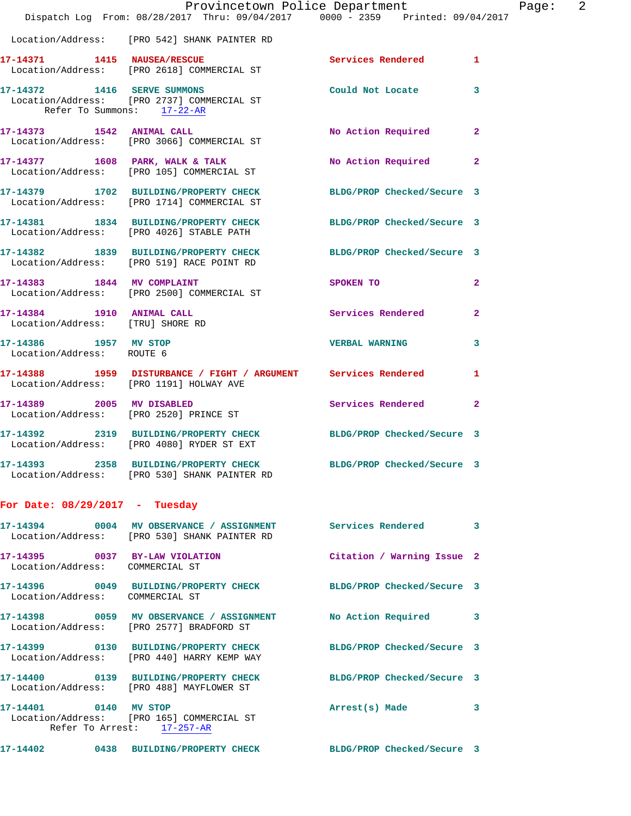|                                                                   | Provincetown Police Department<br>Dispatch Log From: 08/28/2017 Thru: 09/04/2017 0000 - 2359 Printed: 09/04/2017 |                            |                |
|-------------------------------------------------------------------|------------------------------------------------------------------------------------------------------------------|----------------------------|----------------|
|                                                                   | Location/Address: [PRO 542] SHANK PAINTER RD                                                                     |                            |                |
|                                                                   | 17-14371 1415 NAUSEA/RESCUE<br>Location/Address: [PRO 2618] COMMERCIAL ST                                        | <b>Services Rendered</b>   | 1              |
| 17-14372 1416 SERVE SUMMONS<br>Refer To Summons: 17-22-AR         | Location/Address: [PRO 2737] COMMERCIAL ST                                                                       | Could Not Locate           | 3              |
| 17-14373 1542 ANIMAL CALL                                         | Location/Address: [PRO 3066] COMMERCIAL ST                                                                       | No Action Required         | 2              |
|                                                                   | 17-14377 1608 PARK, WALK & TALK<br>Location/Address: [PRO 105] COMMERCIAL ST                                     | No Action Required         | $\mathbf{2}$   |
|                                                                   | 17-14379 1702 BUILDING/PROPERTY CHECK BLDG/PROP Checked/Secure 3<br>Location/Address: [PRO 1714] COMMERCIAL ST   |                            |                |
|                                                                   | 17-14381 1834 BUILDING/PROPERTY CHECK BLDG/PROP Checked/Secure 3<br>Location/Address: [PRO 4026] STABLE PATH     |                            |                |
|                                                                   | 17-14382 1839 BUILDING/PROPERTY CHECK BLDG/PROP Checked/Secure 3<br>Location/Address: [PRO 519] RACE POINT RD    |                            |                |
|                                                                   | 17-14383 1844 MV COMPLAINT<br>Location/Address: [PRO 2500] COMMERCIAL ST                                         | SPOKEN TO                  | $\mathbf{2}$   |
| 17-14384 1910 ANIMAL CALL<br>Location/Address: [TRU] SHORE RD     |                                                                                                                  | Services Rendered          | 2              |
| 17-14386 1957 MV STOP<br>Location/Address: ROUTE 6                |                                                                                                                  | <b>VERBAL WARNING</b>      | 3              |
|                                                                   | 17-14388 1959 DISTURBANCE / FIGHT / ARGUMENT Services Rendered<br>Location/Address: [PRO 1191] HOLWAY AVE        |                            | 1              |
| 17-14389 2005 MV DISABLED                                         | Location/Address: [PRO 2520] PRINCE ST                                                                           | <b>Services Rendered</b>   | $\overline{2}$ |
|                                                                   | 17-14392 2319 BUILDING/PROPERTY CHECK<br>Location/Address: [PRO 4080] RYDER ST EXT                               | BLDG/PROP Checked/Secure 3 |                |
|                                                                   | 17-14393 2358 BUILDING/PROPERTY CHECK BLDG/PROP Checked/Secure 3<br>Location/Address: [PRO 530] SHANK PAINTER RD |                            |                |
| For Date: $08/29/2017 - Tuesday$                                  |                                                                                                                  |                            |                |
|                                                                   | 17-14394 0004 MV OBSERVANCE / ASSIGNMENT Services Rendered<br>Location/Address: [PRO 530] SHANK PAINTER RD       |                            | 3              |
| 17-14395 0037 BY-LAW VIOLATION<br>Location/Address: COMMERCIAL ST |                                                                                                                  | Citation / Warning Issue 2 |                |
| Location/Address: COMMERCIAL ST                                   | 17-14396 0049 BUILDING/PROPERTY CHECK BLDG/PROP Checked/Secure 3                                                 |                            |                |
|                                                                   | 17-14398 0059 MV OBSERVANCE / ASSIGNMENT<br>Location/Address: [PRO 2577] BRADFORD ST                             | <b>No Action Required</b>  | 3              |
|                                                                   | 17-14399 0130 BUILDING/PROPERTY CHECK<br>Location/Address: [PRO 440] HARRY KEMP WAY                              | BLDG/PROP Checked/Secure 3 |                |
|                                                                   | 17-14400 0139 BUILDING/PROPERTY CHECK<br>Location/Address: [PRO 488] MAYFLOWER ST                                | BLDG/PROP Checked/Secure 3 |                |
| 17-14401 0140 MV STOP                                             | Location/Address: [PRO 165] COMMERCIAL ST<br>Refer To Arrest: 17-257-AR                                          | Arrest(s) Made             | 3              |
|                                                                   | 17-14402 0438 BUILDING/PROPERTY CHECK                                                                            | BLDG/PROP Checked/Secure 3 |                |

Page: 2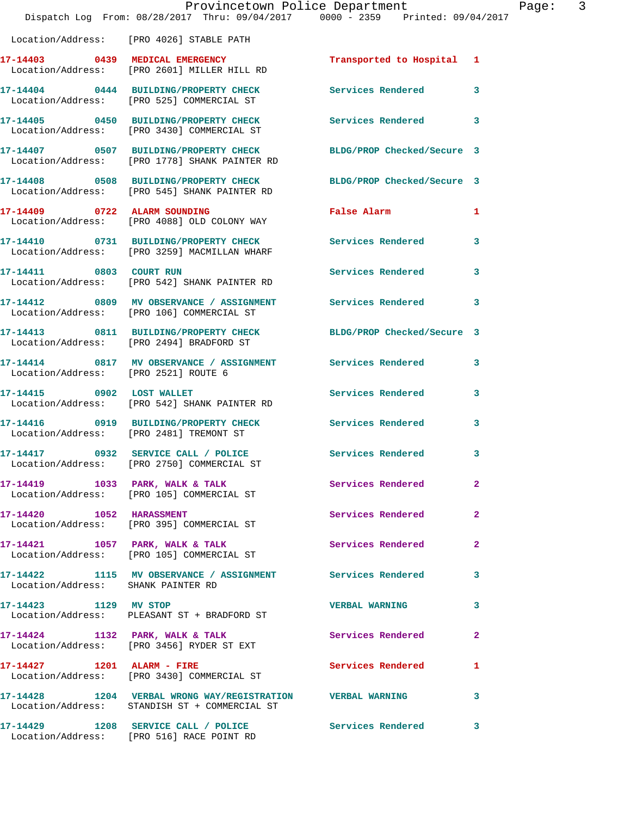|                                    | Dispatch Log From: 08/28/2017 Thru: 09/04/2017 0000 - 2359 Printed: 09/04/2017                                    | Provincetown Police Department | $\overline{3}$<br>Page: |
|------------------------------------|-------------------------------------------------------------------------------------------------------------------|--------------------------------|-------------------------|
|                                    | Location/Address: [PRO 4026] STABLE PATH                                                                          |                                |                         |
|                                    | 17-14403 0439 MEDICAL EMERGENCY Transported to Hospital 1<br>Location/Address: [PRO 2601] MILLER HILL RD          |                                |                         |
|                                    | 17-14404 0444 BUILDING/PROPERTY CHECK Services Rendered<br>Location/Address: [PRO 525] COMMERCIAL ST              |                                | $\mathbf{3}$            |
|                                    | 17-14405 0450 BUILDING/PROPERTY CHECK Services Rendered 3<br>Location/Address: [PRO 3430] COMMERCIAL ST           |                                |                         |
|                                    | 17-14407 0507 BUILDING/PROPERTY CHECK BLDG/PROP Checked/Secure 3<br>Location/Address: [PRO 1778] SHANK PAINTER RD |                                |                         |
|                                    | 17-14408 0508 BUILDING/PROPERTY CHECK BLDG/PROP Checked/Secure 3<br>Location/Address: [PRO 545] SHANK PAINTER RD  |                                |                         |
|                                    | 17-14409 0722 ALARM SOUNDING<br>Location/Address: [PRO 4088] OLD COLONY WAY                                       | False Alarm 1                  |                         |
|                                    | 17-14410 0731 BUILDING/PROPERTY CHECK Services Rendered<br>Location/Address: [PRO 3259] MACMILLAN WHARF           |                                | 3                       |
|                                    | 17-14411 0803 COURT RUN<br>Location/Address: [PRO 542] SHANK PAINTER RD                                           | Services Rendered 3            |                         |
|                                    | 17-14412 0809 MV OBSERVANCE / ASSIGNMENT Services Rendered<br>Location/Address: [PRO 106] COMMERCIAL ST           |                                | 3                       |
|                                    | 17-14413 0811 BUILDING/PROPERTY CHECK BLDG/PROP Checked/Secure 3<br>Location/Address: [PRO 2494] BRADFORD ST      |                                |                         |
|                                    | 17-14414 0817 MV OBSERVANCE / ASSIGNMENT Services Rendered<br>Location/Address: [PRO 2521] ROUTE 6                |                                | 3                       |
| 17-14415 0902 LOST WALLET          | Location/Address: [PRO 542] SHANK PAINTER RD                                                                      | Services Rendered 3            |                         |
|                                    | 17-14416 0919 BUILDING/PROPERTY CHECK Services Rendered<br>Location/Address: [PRO 2481] TREMONT ST                |                                | 3                       |
|                                    | 17-14417 0932 SERVICE CALL / POLICE<br>Location/Address: [PRO 2750] COMMERCIAL ST                                 | Services Rendered 3            |                         |
|                                    | 17-14419 1033 PARK, WALK & TALK Services Rendered<br>Location/Address: [PRO 105] COMMERCIAL ST                    |                                | $\mathbf{2}$            |
|                                    | 17-14420 1052 HARASSMENT<br>Location/Address: [PRO 395] COMMERCIAL ST                                             | Services Rendered              | $\mathbf{2}$            |
|                                    | 17-14421 1057 PARK, WALK & TALK<br>Location/Address: [PRO 105] COMMERCIAL ST                                      | Services Rendered              | $\mathbf{2}$            |
| Location/Address: SHANK PAINTER RD | 17-14422 1115 MV OBSERVANCE / ASSIGNMENT Services Rendered                                                        |                                | 3                       |
|                                    | 17-14423 1129 MV STOP<br>Location/Address: PLEASANT ST + BRADFORD ST                                              | <b>VERBAL WARNING</b>          | 3                       |
|                                    | $17-14424$ 1132 PARK, WALK & TALK<br>Location/Address: [PRO 3456] RYDER ST EXT                                    | Services Rendered              | $\overline{2}$          |
|                                    | 17-14427 1201 ALARM - FIRE<br>Location/Address: [PRO 3430] COMMERCIAL ST                                          | <b>Services Rendered</b>       | 1                       |
|                                    | 17-14428 1204 VERBAL WRONG WAY/REGISTRATION VERBAL WARNING<br>Location/Address: STANDISH ST + COMMERCIAL ST       |                                | $\mathbf{3}$            |
|                                    |                                                                                                                   |                                | $\mathbf{3}$            |

Location/Address: [PRO 516] RACE POINT RD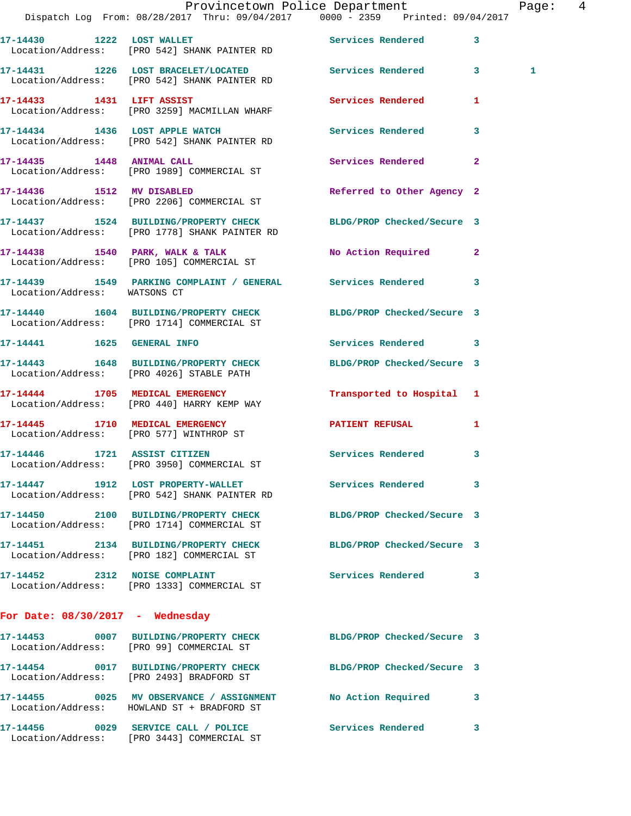|                                    | Dispatch Log From: 08/28/2017 Thru: 09/04/2017 0000 - 2359 Printed: 09/04/2017                                    | Provincetown Police Department |                         | Page: $4$ |  |
|------------------------------------|-------------------------------------------------------------------------------------------------------------------|--------------------------------|-------------------------|-----------|--|
|                                    | 17-14430 1222 LOST WALLET Services Rendered 3<br>Location/Address: [PRO 542] SHANK PAINTER RD                     |                                |                         |           |  |
|                                    | 17-14431 1226 LOST BRACELET/LOCATED Services Rendered 3<br>Location/Address: [PRO 542] SHANK PAINTER RD           |                                |                         | 1         |  |
|                                    | 17-14433 1431 LIFT ASSIST<br>Location/Address: [PRO 3259] MACMILLAN WHARF                                         | Services Rendered              | $\mathbf{1}$            |           |  |
|                                    | 17-14434 1436 LOST APPLE WATCH<br>Location/Address: [PRO 542] SHANK PAINTER RD                                    | Services Rendered              | $\overline{\mathbf{3}}$ |           |  |
|                                    | 17-14435 1448 ANIMAL CALL<br>Location/Address: [PRO 1989] COMMERCIAL ST                                           | Services Rendered              | $\mathbf{2}$            |           |  |
|                                    | 17-14436   1512 MV DISABLED<br>Location/Address: [PRO 2206] COMMERCIAL ST                                         | Referred to Other Agency 2     |                         |           |  |
|                                    | 17-14437 1524 BUILDING/PROPERTY CHECK BLDG/PROP Checked/Secure 3<br>Location/Address: [PRO 1778] SHANK PAINTER RD |                                |                         |           |  |
|                                    | 17-14438 1540 PARK, WALK & TALK<br>Location/Address: [PRO 105] COMMERCIAL ST                                      | No Action Required 2           |                         |           |  |
| Location/Address: WATSONS CT       | 17-14439 1549 PARKING COMPLAINT / GENERAL Services Rendered 3                                                     |                                |                         |           |  |
|                                    | 17-14440 1604 BUILDING/PROPERTY CHECK<br>Location/Address: [PRO 1714] COMMERCIAL ST                               | BLDG/PROP Checked/Secure 3     |                         |           |  |
|                                    | 17-14441    1625    GENERAL INFO                                                                                  | Services Rendered 3            |                         |           |  |
|                                    | 17-14443 1648 BUILDING/PROPERTY CHECK<br>Location/Address: [PRO 4026] STABLE PATH                                 | BLDG/PROP Checked/Secure 3     |                         |           |  |
|                                    | 17-14444 1705 MEDICAL EMERGENCY<br>Location/Address: [PRO 440] HARRY KEMP WAY                                     | Transported to Hospital 1      |                         |           |  |
|                                    | 17-14445 1710 MEDICAL EMERGENCY<br>Location/Address: [PRO 577] WINTHROP ST                                        | PATIENT REFUSAL                | 1                       |           |  |
|                                    | 17-14446 1721 ASSIST CITIZEN<br>Location/Address: [PRO 3950] COMMERCIAL ST                                        | Services Rendered 3            |                         |           |  |
|                                    | 17-14447 1912 LOST PROPERTY-WALLET Services Rendered 3<br>Location/Address: [PRO 542] SHANK PAINTER RD            |                                |                         |           |  |
|                                    | 17-14450 2100 BUILDING/PROPERTY CHECK<br>Location/Address: [PRO 1714] COMMERCIAL ST                               | BLDG/PROP Checked/Secure 3     |                         |           |  |
|                                    | 17-14451 2134 BUILDING/PROPERTY CHECK BLDG/PROP Checked/Secure 3<br>Location/Address: [PRO 182] COMMERCIAL ST     |                                |                         |           |  |
|                                    | 17-14452 2312 NOISE COMPLAINT<br>Location/Address: [PRO 1333] COMMERCIAL ST                                       | Services Rendered 3            |                         |           |  |
| For Date: $08/30/2017$ - Wednesday |                                                                                                                   |                                |                         |           |  |
|                                    | 17-14453 0007 BUILDING/PROPERTY CHECK BLDG/PROP Checked/Secure 3<br>Location/Address: [PRO 99] COMMERCIAL ST      |                                |                         |           |  |
|                                    | 17-14454 0017 BUILDING/PROPERTY CHECK BLDG/PROP Checked/Secure 3<br>Location/Address: [PRO 2493] BRADFORD ST      |                                |                         |           |  |
|                                    | 17-14455 0025 MV OBSERVANCE / ASSIGNMENT No Action Required 3<br>Location/Address: HOWLAND ST + BRADFORD ST       |                                |                         |           |  |
|                                    | 17-14456 0029 SERVICE CALL / POLICE                                                                               | Services Rendered 3            |                         |           |  |

Location/Address: [PRO 3443] COMMERCIAL ST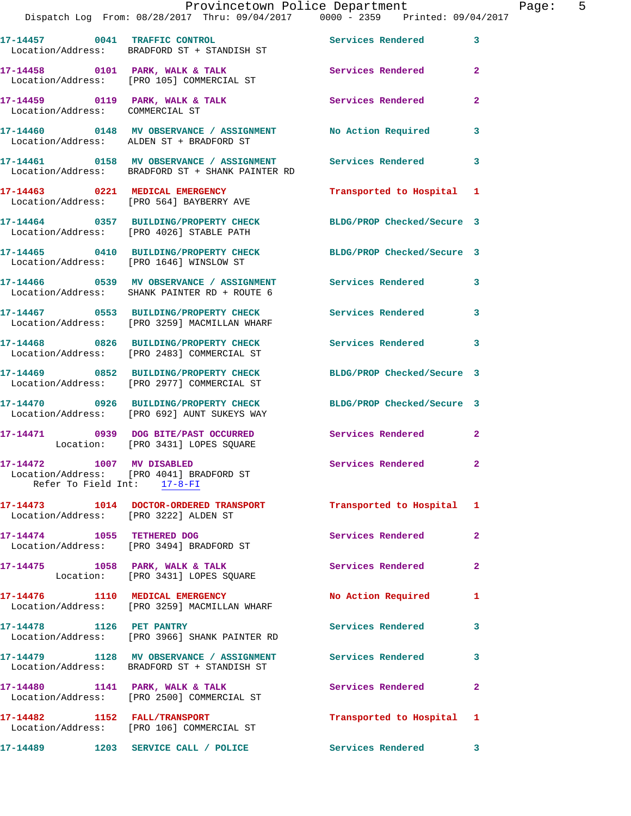|                                                          | Dispatch Log From: 08/28/2017 Thru: 09/04/2017 0000 - 2359 Printed: 09/04/2017                                  | Provincetown Police Department | Page: 5        |
|----------------------------------------------------------|-----------------------------------------------------------------------------------------------------------------|--------------------------------|----------------|
|                                                          | 17-14457 0041 TRAFFIC CONTROL Services Rendered 3<br>Location/Address: BRADFORD ST + STANDISH ST                |                                |                |
|                                                          | 17-14458 0101 PARK, WALK & TALK 3 Services Rendered 2<br>Location/Address: [PRO 105] COMMERCIAL ST              |                                |                |
| Location/Address: COMMERCIAL ST                          | 17-14459 0119 PARK, WALK & TALK Services Rendered                                                               |                                | $\overline{2}$ |
|                                                          | 17-14460 0148 MV OBSERVANCE / ASSIGNMENT No Action Required 3<br>Location/Address: ALDEN ST + BRADFORD ST       |                                |                |
|                                                          | 17-14461 0158 MV OBSERVANCE / ASSIGNMENT Services Rendered<br>Location/Address: BRADFORD ST + SHANK PAINTER RD  |                                | $\mathbf{3}$   |
|                                                          | 17-14463 0221 MEDICAL EMERGENCY<br>Location/Address: [PRO 564] BAYBERRY AVE                                     | Transported to Hospital 1      |                |
|                                                          | 17-14464 0357 BUILDING/PROPERTY CHECK BLDG/PROP Checked/Secure 3<br>Location/Address: [PRO 4026] STABLE PATH    |                                |                |
|                                                          | 17-14465 0410 BUILDING/PROPERTY CHECK BLDG/PROP Checked/Secure 3<br>Location/Address: [PRO 1646] WINSLOW ST     |                                |                |
|                                                          | 17-14466 0539 MV OBSERVANCE / ASSIGNMENT Services Rendered 3<br>Location/Address: SHANK PAINTER RD + ROUTE 6    |                                |                |
|                                                          | 17-14467 0553 BUILDING/PROPERTY CHECK Services Rendered 3<br>Location/Address: [PRO 3259] MACMILLAN WHARF       |                                |                |
|                                                          | 17-14468 0826 BUILDING/PROPERTY CHECK Services Rendered 3<br>Location/Address: [PRO 2483] COMMERCIAL ST         |                                |                |
|                                                          | 17-14469 0852 BUILDING/PROPERTY CHECK<br>Location/Address: [PRO 2977] COMMERCIAL ST                             | BLDG/PROP Checked/Secure 3     |                |
|                                                          | 17-14470 0926 BUILDING/PROPERTY CHECK BLDG/PROP Checked/Secure 3<br>Location/Address: [PRO 692] AUNT SUKEYS WAY |                                |                |
|                                                          | 17-14471 0939 DOG BITE/PAST OCCURRED Services Rendered 2<br>Location: [PRO 3431] LOPES SQUARE                   |                                |                |
| 17-14472 1007 MV DISABLED<br>Refer To Field Int: 17-8-FI | Location/Address: [PRO 4041] BRADFORD ST                                                                        | Services Rendered 2            |                |
| Location/Address: [PRO 3222] ALDEN ST                    | 17-14473    1014    DOCTOR-ORDERED TRANSPORT                                                                    | Transported to Hospital 1      |                |
|                                                          | 17-14474 1055 TETHERED DOG<br>Location/Address: [PRO 3494] BRADFORD ST                                          | Services Rendered              | $\mathbf{2}$   |
|                                                          | 17-14475 1058 PARK, WALK & TALK Services Rendered<br>Location: [PRO 3431] LOPES SQUARE                          |                                | $\mathbf{2}$   |
|                                                          | 17-14476 1110 MEDICAL EMERGENCY<br>Location/Address: [PRO 3259] MACMILLAN WHARF                                 | No Action Required 1           |                |
|                                                          | 17-14478    1126    PET PANTRY<br>Location/Address: [PRO 3966] SHANK PAINTER RD                                 | Services Rendered 3            |                |
|                                                          | 17-14479 1128 MV OBSERVANCE / ASSIGNMENT Services Rendered 3<br>Location/Address: BRADFORD ST + STANDISH ST     |                                |                |
|                                                          | 17-14480 1141 PARK, WALK & TALK<br>Location/Address: [PRO 2500] COMMERCIAL ST                                   | Services Rendered              | $\mathbf{2}$   |
|                                                          | 17-14482 1152 FALL/TRANSPORT<br>Location/Address: [PRO 106] COMMERCIAL ST                                       | Transported to Hospital 1      |                |
|                                                          |                                                                                                                 |                                |                |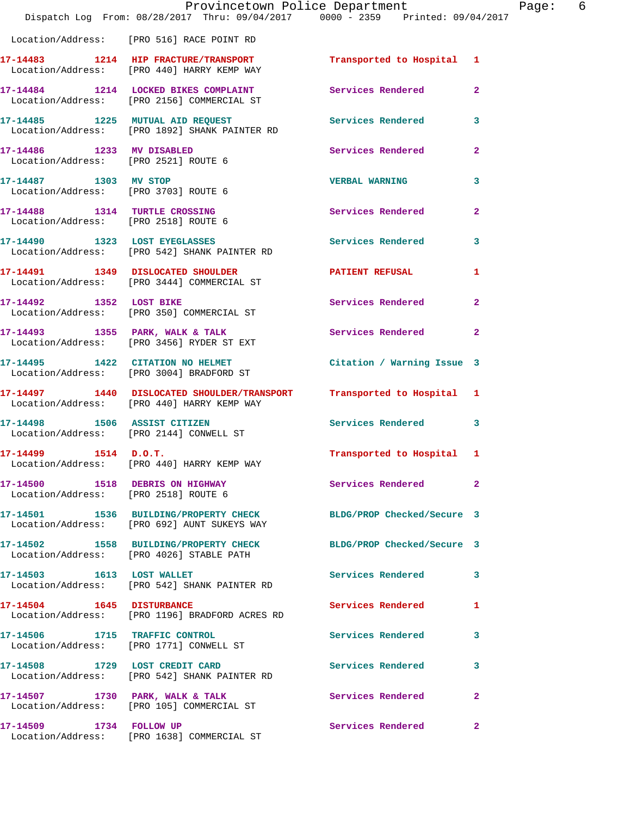|                                                                       | Provincetown Police Department<br>Dispatch Log From: 08/28/2017 Thru: 09/04/2017 0000 - 2359 Printed: 09/04/2017    |                            |                |
|-----------------------------------------------------------------------|---------------------------------------------------------------------------------------------------------------------|----------------------------|----------------|
|                                                                       | Location/Address: [PRO 516] RACE POINT RD                                                                           |                            |                |
|                                                                       | 17-14483 1214 HIP FRACTURE/TRANSPORT Transported to Hospital 1<br>Location/Address: [PRO 440] HARRY KEMP WAY        |                            |                |
|                                                                       | 17-14484 1214 LOCKED BIKES COMPLAINT<br>Location/Address: [PRO 2156] COMMERCIAL ST                                  | Services Rendered          | $\overline{2}$ |
|                                                                       | 17-14485 1225 MUTUAL AID REQUEST<br>Location/Address: [PRO 1892] SHANK PAINTER RD                                   | <b>Services Rendered</b>   | 3              |
| 17-14486 1233 MV DISABLED                                             | Location/Address: [PRO 2521] ROUTE 6                                                                                | Services Rendered          | $\overline{a}$ |
| 17-14487 1303 MV STOP<br>Location/Address: [PRO 3703] ROUTE 6         |                                                                                                                     | <b>VERBAL WARNING</b>      | 3              |
| 17-14488 1314 TURTLE CROSSING<br>Location/Address: [PRO 2518] ROUTE 6 |                                                                                                                     | Services Rendered          | $\mathbf{2}$   |
|                                                                       | 17-14490 1323 LOST EYEGLASSES<br>Location/Address: [PRO 542] SHANK PAINTER RD                                       | Services Rendered          | 3              |
|                                                                       | 17-14491   1349   DISLOCATED SHOULDER<br>Location/Address: [PRO 3444] COMMERCIAL ST                                 | PATIENT REFUSAL            | 1              |
|                                                                       | 17-14492 1352 LOST BIKE<br>Location/Address: [PRO 350] COMMERCIAL ST                                                | Services Rendered          | $\overline{a}$ |
|                                                                       | 17-14493 1355 PARK, WALK & TALK<br>Location/Address: [PRO 3456] RYDER ST EXT                                        | Services Rendered          | $\mathbf{2}$   |
|                                                                       | 17-14495 1422 CITATION NO HELMET<br>Location/Address: [PRO 3004] BRADFORD ST                                        | Citation / Warning Issue 3 |                |
|                                                                       | 17-14497 1440 DISLOCATED SHOULDER/TRANSPORT Transported to Hospital 1<br>Location/Address: [PRO 440] HARRY KEMP WAY |                            |                |
|                                                                       | 17-14498 1506 ASSIST CITIZEN<br>Location/Address: [PRO 2144] CONWELL ST                                             | Services Rendered 3        |                |
|                                                                       | $17 - 14499$ $1514$ $D.0.T.$<br>Location/Address: [PRO 440] HARRY KEMP WAY                                          | Transported to Hospital 1  |                |
| Location/Address: [PRO 2518] ROUTE 6                                  | 17-14500 1518 DEBRIS ON HIGHWAY                                                                                     | Services Rendered          | $\mathbf{2}$   |
|                                                                       | 17-14501 1536 BUILDING/PROPERTY CHECK BLDG/PROP Checked/Secure 3<br>Location/Address: [PRO 692] AUNT SUKEYS WAY     |                            |                |
|                                                                       | 17-14502 1558 BUILDING/PROPERTY CHECK<br>Location/Address: [PRO 4026] STABLE PATH                                   | BLDG/PROP Checked/Secure 3 |                |
| 17-14503 1613 LOST WALLET                                             | Location/Address: [PRO 542] SHANK PAINTER RD                                                                        | Services Rendered          | 3              |
| 17-14504 1645 DISTURBANCE                                             | Location/Address: [PRO 1196] BRADFORD ACRES RD                                                                      | Services Rendered          | 1              |
| 17-14506 1715 TRAFFIC CONTROL                                         | Location/Address: [PRO 1771] CONWELL ST                                                                             | Services Rendered          | 3              |
|                                                                       | 17-14508 1729 LOST CREDIT CARD<br>Location/Address: [PRO 542] SHANK PAINTER RD                                      | Services Rendered          | 3              |
|                                                                       | 17-14507 1730 PARK, WALK & TALK<br>Location/Address: [PRO 105] COMMERCIAL ST                                        | Services Rendered          | $\mathbf{2}$   |
| 17-14509 1734 FOLLOW UP                                               | Location/Address: [PRO 1638] COMMERCIAL ST                                                                          | Services Rendered          | $\mathbf{2}$   |

Page: 6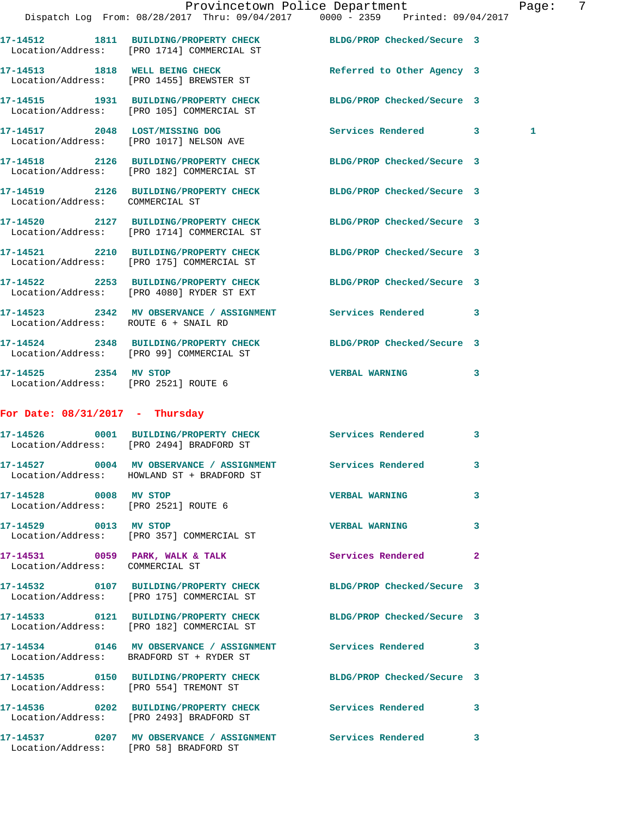|                                                               | Dispatch Log From: 08/28/2017 Thru: 09/04/2017 0000 - 2359 Printed: 09/04/2017                                 | Provincetown Police Department |              | Page: | $\overline{7}$ |
|---------------------------------------------------------------|----------------------------------------------------------------------------------------------------------------|--------------------------------|--------------|-------|----------------|
|                                                               | 17-14512 1811 BUILDING/PROPERTY CHECK BLDG/PROP Checked/Secure 3<br>Location/Address: [PRO 1714] COMMERCIAL ST |                                |              |       |                |
|                                                               | 17-14513 1818 WELL BEING CHECK<br>Location/Address: [PRO 1455] BREWSTER ST                                     | Referred to Other Agency 3     |              |       |                |
|                                                               | 17-14515 1931 BUILDING/PROPERTY CHECK BLDG/PROP Checked/Secure 3<br>Location/Address: [PRO 105] COMMERCIAL ST  |                                |              |       |                |
|                                                               | 17-14517 2048 LOST/MISSING DOG Services Rendered 3<br>Location/Address: [PRO 1017] NELSON AVE                  |                                |              | 1     |                |
|                                                               | 17-14518 2126 BUILDING/PROPERTY CHECK BLDG/PROP Checked/Secure 3<br>Location/Address: [PRO 182] COMMERCIAL ST  |                                |              |       |                |
| Location/Address: COMMERCIAL ST                               | 17-14519 2126 BUILDING/PROPERTY CHECK BLDG/PROP Checked/Secure 3                                               |                                |              |       |                |
|                                                               | 17-14520 2127 BUILDING/PROPERTY CHECK BLDG/PROP Checked/Secure 3<br>Location/Address: [PRO 1714] COMMERCIAL ST |                                |              |       |                |
|                                                               | 17-14521 2210 BUILDING/PROPERTY CHECK BLDG/PROP Checked/Secure 3<br>Location/Address: [PRO 175] COMMERCIAL ST  |                                |              |       |                |
|                                                               | 17-14522 2253 BUILDING/PROPERTY CHECK BLDG/PROP Checked/Secure 3<br>Location/Address: [PRO 4080] RYDER ST EXT  |                                |              |       |                |
| Location/Address: ROUTE 6 + SNAIL RD                          | 17-14523 2342 MV OBSERVANCE / ASSIGNMENT Services Rendered 3                                                   |                                |              |       |                |
|                                                               | 17-14524 2348 BUILDING/PROPERTY CHECK BLDG/PROP Checked/Secure 3<br>Location/Address: [PRO 99] COMMERCIAL ST   |                                |              |       |                |
| 17-14525 2354 MV STOP<br>Location/Address: [PRO 2521] ROUTE 6 |                                                                                                                | VERBAL WARNING 3               |              |       |                |
| For Date: $08/31/2017$ - Thursday                             |                                                                                                                |                                |              |       |                |
|                                                               | 17-14526 0001 BUILDING/PROPERTY CHECK Services Rendered 3<br>Location/Address: [PRO 2494] BRADFORD ST          |                                |              |       |                |
|                                                               | 17-14527 0004 MV OBSERVANCE / ASSIGNMENT Services Rendered<br>Location/Address: HOWLAND ST + BRADFORD ST       |                                | 3            |       |                |
| 17-14528 0008 MV STOP                                         | Location/Address: [PRO 2521] ROUTE 6                                                                           | <b>VERBAL WARNING</b>          | 3            |       |                |
| 17-14529 0013 MV STOP                                         | Location/Address: [PRO 357] COMMERCIAL ST                                                                      | <b>VERBAL WARNING</b>          | 3            |       |                |
| Location/Address: COMMERCIAL ST                               | 17-14531 0059 PARK, WALK & TALK 3 Services Rendered                                                            |                                | $\mathbf{2}$ |       |                |
|                                                               | 17-14532 0107 BUILDING/PROPERTY CHECK BLDG/PROP Checked/Secure 3<br>Location/Address: [PRO 175] COMMERCIAL ST  |                                |              |       |                |
|                                                               | 17-14533 0121 BUILDING/PROPERTY CHECK BLDG/PROP Checked/Secure 3<br>Location/Address: [PRO 182] COMMERCIAL ST  |                                |              |       |                |
|                                                               | 17-14534 0146 MV OBSERVANCE / ASSIGNMENT Services Rendered 3<br>Location/Address: BRADFORD ST + RYDER ST       |                                |              |       |                |
|                                                               | 17-14535 0150 BUILDING/PROPERTY CHECK BLDG/PROP Checked/Secure 3<br>Location/Address: [PRO 554] TREMONT ST     |                                |              |       |                |
|                                                               | 17-14536 0202 BUILDING/PROPERTY CHECK<br>Location/Address: [PRO 2493] BRADFORD ST                              | <b>Services Rendered 3</b>     |              |       |                |

**17-14537 0207 MV OBSERVANCE / ASSIGNMENT Services Rendered 3**  Location/Address: [PRO 58] BRADFORD ST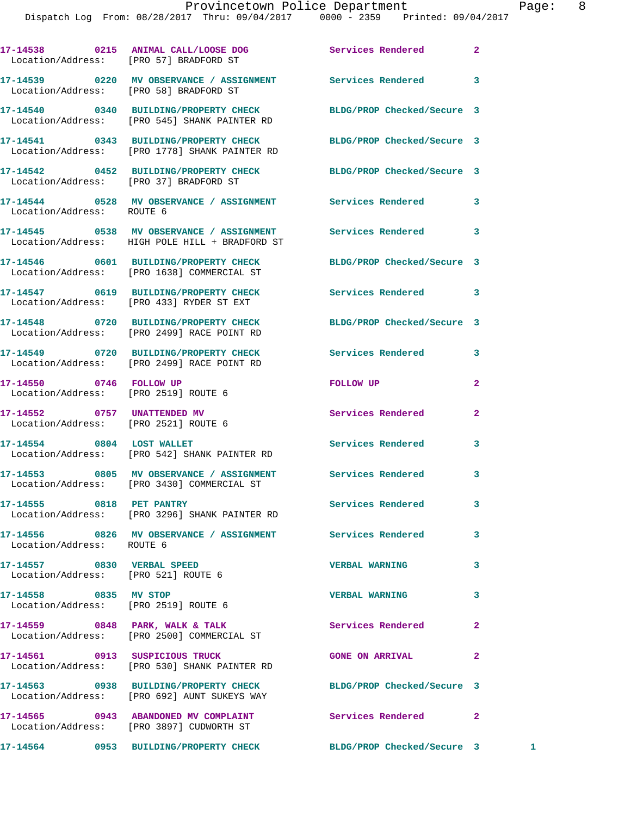|                                                                     | 17-14538 0215 ANIMAL CALL/LOOSE DOG<br>Location/Address: [PRO 57] BRADFORD ST                                     | Services Rendered          | $\mathbf{2}$ |  |
|---------------------------------------------------------------------|-------------------------------------------------------------------------------------------------------------------|----------------------------|--------------|--|
|                                                                     | 17-14539 0220 MV OBSERVANCE / ASSIGNMENT Services Rendered<br>Location/Address: [PRO 58] BRADFORD ST              |                            | 3            |  |
|                                                                     | 17-14540 0340 BUILDING/PROPERTY CHECK<br>Location/Address: [PRO 545] SHANK PAINTER RD                             | BLDG/PROP Checked/Secure 3 |              |  |
|                                                                     | 17-14541 0343 BUILDING/PROPERTY CHECK BLDG/PROP Checked/Secure 3<br>Location/Address: [PRO 1778] SHANK PAINTER RD |                            |              |  |
|                                                                     | 17-14542 0452 BUILDING/PROPERTY CHECK<br>Location/Address: [PRO 37] BRADFORD ST                                   | BLDG/PROP Checked/Secure 3 |              |  |
| Location/Address: ROUTE 6                                           | 17-14544 0528 MV OBSERVANCE / ASSIGNMENT Services Rendered                                                        |                            | 3            |  |
|                                                                     | 17-14545 0538 MV OBSERVANCE / ASSIGNMENT Services Rendered<br>Location/Address: HIGH POLE HILL + BRADFORD ST      |                            | 3            |  |
|                                                                     | 17-14546 0601 BUILDING/PROPERTY CHECK BLDG/PROP Checked/Secure 3<br>Location/Address: [PRO 1638] COMMERCIAL ST    |                            |              |  |
|                                                                     | 17-14547 0619 BUILDING/PROPERTY CHECK Services Rendered 3<br>Location/Address: [PRO 433] RYDER ST EXT             |                            |              |  |
|                                                                     | 17-14548 0720 BUILDING/PROPERTY CHECK BLDG/PROP Checked/Secure 3<br>Location/Address: [PRO 2499] RACE POINT RD    |                            |              |  |
|                                                                     | 17-14549 0720 BUILDING/PROPERTY CHECK<br>Location/Address: [PRO 2499] RACE POINT RD                               | Services Rendered          | 3            |  |
| 17-14550 0746 FOLLOW UP<br>Location/Address: [PRO 2519] ROUTE 6     |                                                                                                                   | FOLLOW UP                  | 2            |  |
| 17-14552 0757 UNATTENDED MV<br>Location/Address: [PRO 2521] ROUTE 6 |                                                                                                                   | Services Rendered          | $\mathbf{2}$ |  |
|                                                                     | 17-14554 0804 LOST WALLET<br>Location/Address: [PRO 542] SHANK PAINTER RD                                         | <b>Services Rendered</b>   | 3            |  |
|                                                                     | 17-14553 0805 MV OBSERVANCE / ASSIGNMENT Services Rendered<br>Location/Address: [PRO 3430] COMMERCIAL ST          |                            | 3            |  |
| 17-14555 0818 PET PANTRY                                            | Location/Address: [PRO 3296] SHANK PAINTER RD                                                                     | Services Rendered          | 3            |  |
| Location/Address: ROUTE 6                                           | 17-14556 6826 MV OBSERVANCE / ASSIGNMENT Services Rendered                                                        |                            | 3            |  |
| 17-14557 0830 VERBAL SPEED<br>Location/Address: [PRO 521] ROUTE 6   |                                                                                                                   | <b>VERBAL WARNING</b>      | 3            |  |
| 17-14558 0835 MV STOP                                               | Location/Address: [PRO 2519] ROUTE 6                                                                              | <b>VERBAL WARNING</b>      | 3            |  |
|                                                                     | 17-14559 0848 PARK, WALK & TALK<br>Location/Address: [PRO 2500] COMMERCIAL ST                                     | Services Rendered          | $\mathbf{2}$ |  |
| 17-14561 0913 SUSPICIOUS TRUCK                                      | Location/Address: [PRO 530] SHANK PAINTER RD                                                                      | <b>GONE ON ARRIVAL</b>     | $\mathbf{2}$ |  |
|                                                                     | 17-14563 0938 BUILDING/PROPERTY CHECK BLDG/PROP Checked/Secure 3<br>Location/Address: [PRO 692] AUNT SUKEYS WAY   |                            |              |  |
|                                                                     | 17-14565 0943 ABANDONED MV COMPLAINT<br>Location/Address: [PRO 3897] CUDWORTH ST                                  | Services Rendered          | $\mathbf{2}$ |  |
|                                                                     | 17-14564      0953  BUILDING/PROPERTY CHECK        BLDG/PROP Checked/Secure 3     1                               |                            |              |  |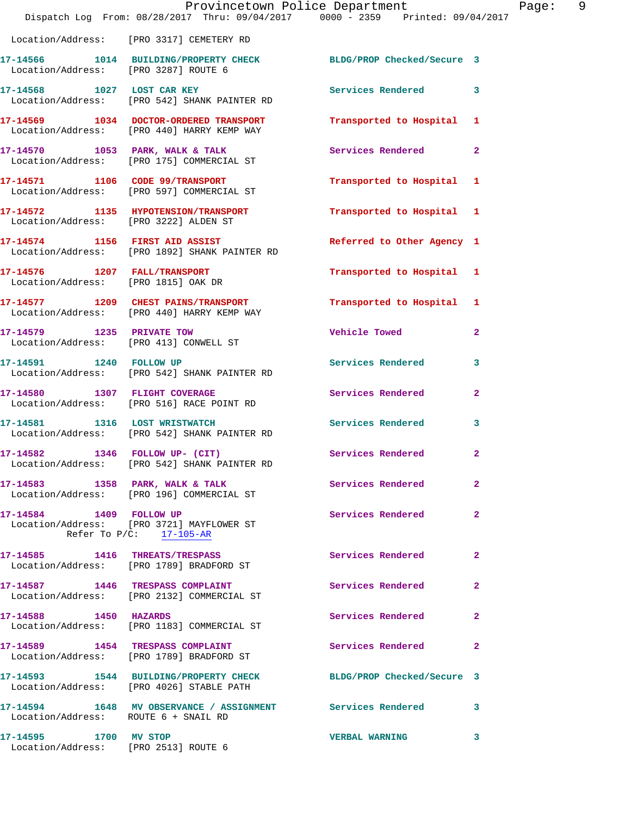|                                       | Dispatch Log From: 08/28/2017 Thru: 09/04/2017 0000 - 2359 Printed: 09/04/2017                               | Provincetown Police Department | Page: 9        |  |
|---------------------------------------|--------------------------------------------------------------------------------------------------------------|--------------------------------|----------------|--|
|                                       | Location/Address: [PRO 3317] CEMETERY RD                                                                     |                                |                |  |
| Location/Address: [PRO 3287] ROUTE 6  | 17-14566 1014 BUILDING/PROPERTY CHECK BLDG/PROP Checked/Secure 3                                             |                                |                |  |
|                                       | 17-14568 1027 LOST CAR KEY<br>Location/Address: [PRO 542] SHANK PAINTER RD                                   | Services Rendered 3            |                |  |
|                                       | 17-14569 1034 DOCTOR-ORDERED TRANSPORT<br>Location/Address: [PRO 440] HARRY KEMP WAY                         | Transported to Hospital 1      |                |  |
|                                       | 17-14570 1053 PARK, WALK & TALK<br>Location/Address: [PRO 175] COMMERCIAL ST                                 | Services Rendered              | $\mathbf{2}$   |  |
|                                       | 17-14571 1106 CODE 99/TRANSPORT<br>Location/Address: [PRO 597] COMMERCIAL ST                                 | Transported to Hospital 1      |                |  |
| Location/Address: [PRO 3222] ALDEN ST | 17-14572 1135 HYPOTENSION/TRANSPORT                                                                          | Transported to Hospital 1      |                |  |
|                                       | 17-14574 1156 FIRST AID ASSIST<br>Location/Address: [PRO 1892] SHANK PAINTER RD                              | Referred to Other Agency 1     |                |  |
| Location/Address: [PRO 1815] OAK DR   | 17-14576 1207 FALL/TRANSPORT                                                                                 | Transported to Hospital 1      |                |  |
|                                       | 17-14577 1209 CHEST PAINS/TRANSPORT<br>Location/Address: [PRO 440] HARRY KEMP WAY                            | Transported to Hospital 1      |                |  |
|                                       | 17-14579 1235 PRIVATE TOW<br>Location/Address: [PRO 413] CONWELL ST                                          | Vehicle Towed <b>Search</b>    | $\mathbf{2}$   |  |
| 17-14591 1240 FOLLOW UP               | Location/Address: [PRO 542] SHANK PAINTER RD                                                                 | Services Rendered 3            |                |  |
|                                       | 17-14580 1307 FLIGHT COVERAGE<br>Location/Address: [PRO 516] RACE POINT RD                                   | Services Rendered              | $\mathbf{2}$   |  |
|                                       | 17-14581 1316 LOST WRISTWATCH<br>Location/Address: [PRO 542] SHANK PAINTER RD                                | <b>Services Rendered</b>       | 3              |  |
|                                       | 17-14582 1346 FOLLOW UP- (CIT)<br>Location/Address: [PRO 542] SHANK PAINTER RD                               | Services Rendered              | $\overline{2}$ |  |
|                                       | 17-14583 1358 PARK, WALK & TALK<br>Location/Address: [PRO 196] COMMERCIAL ST                                 | Services Rendered              | $\mathbf{2}$   |  |
|                                       | 17-14584 1409 FOLLOW UP<br>Location/Address: [PRO 3721] MAYFLOWER ST<br>Refer To $P/C$ : 17-105-AR           | Services Rendered 2            |                |  |
|                                       | 17-14585 1416 THREATS/TRESPASS Services Rendered 2<br>Location/Address: [PRO 1789] BRADFORD ST               |                                |                |  |
|                                       | 17-14587 1446 TRESPASS COMPLAINT<br>Location/Address: [PRO 2132] COMMERCIAL ST                               | Services Rendered 2            |                |  |
| 17-14588 1450 HAZARDS                 | Location/Address: [PRO 1183] COMMERCIAL ST                                                                   | Services Rendered 2            |                |  |
|                                       | 17-14589 1454 TRESPASS COMPLAINT<br>Location/Address: [PRO 1789] BRADFORD ST                                 | Services Rendered 2            |                |  |
|                                       | 17-14593 1544 BUILDING/PROPERTY CHECK BLDG/PROP Checked/Secure 3<br>Location/Address: [PRO 4026] STABLE PATH |                                |                |  |
| Location/Address: ROUTE 6 + SNAIL RD  | 17-14594 1648 MV OBSERVANCE / ASSIGNMENT Services Rendered 3                                                 |                                |                |  |
| 17-14595 1700 MV STOP                 | Location/Address: [PRO 2513] ROUTE 6                                                                         | VERBAL WARNING 3               |                |  |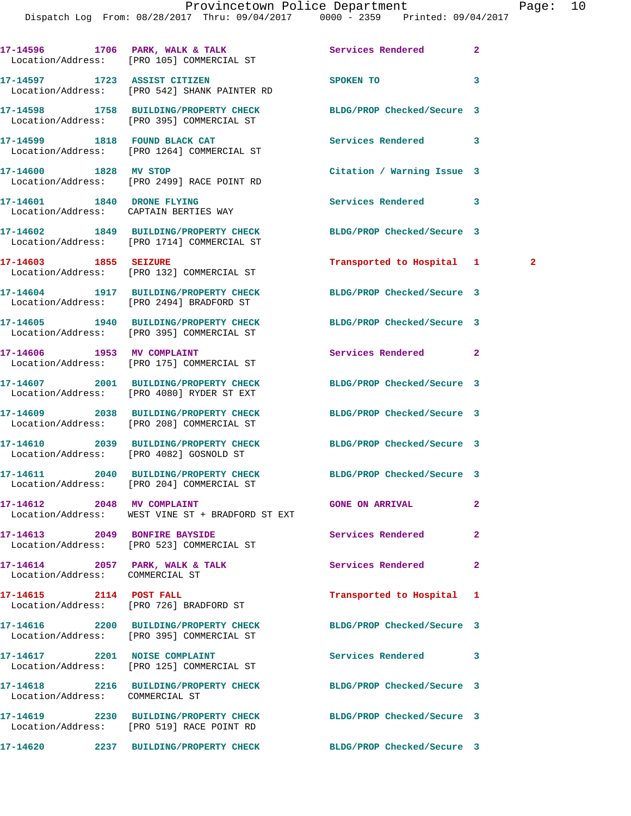|                                 | 17-14596 1706 PARK, WALK & TALK<br>Location/Address: [PRO 105] COMMERCIAL ST                                  | Services Rendered          | $\overline{a}$ |
|---------------------------------|---------------------------------------------------------------------------------------------------------------|----------------------------|----------------|
|                                 | 17-14597 1723 ASSIST CITIZEN<br>Location/Address: [PRO 542] SHANK PAINTER RD                                  | <b>SPOKEN TO</b>           | 3              |
|                                 | 17-14598 1758 BUILDING/PROPERTY CHECK BLDG/PROP Checked/Secure 3<br>Location/Address: [PRO 395] COMMERCIAL ST |                            |                |
|                                 | 17-14599 1818 FOUND BLACK CAT<br>Location/Address: [PRO 1264] COMMERCIAL ST                                   | Services Rendered          | 3              |
| 17-14600 1828 MV STOP           | Location/Address: [PRO 2499] RACE POINT RD                                                                    | Citation / Warning Issue 3 |                |
|                                 | 17-14601 1840 DRONE FLYING<br>Location/Address: CAPTAIN BERTIES WAY                                           | Services Rendered          | 3              |
|                                 | 17-14602 1849 BUILDING/PROPERTY CHECK<br>Location/Address: [PRO 1714] COMMERCIAL ST                           | BLDG/PROP Checked/Secure 3 |                |
| 17-14603 1855 SEIZURE           | Location/Address: [PRO 132] COMMERCIAL ST                                                                     | Transported to Hospital 1  | $\mathbf{2}$   |
|                                 | 17-14604 1917 BUILDING/PROPERTY CHECK<br>Location/Address: [PRO 2494] BRADFORD ST                             | BLDG/PROP Checked/Secure 3 |                |
|                                 | 17-14605 1940 BUILDING/PROPERTY CHECK<br>Location/Address: [PRO 395] COMMERCIAL ST                            | BLDG/PROP Checked/Secure 3 |                |
|                                 | 17-14606 1953 MV COMPLAINT<br>Location/Address: [PRO 175] COMMERCIAL ST                                       | Services Rendered          | $\mathbf{2}$   |
|                                 | 17-14607 2001 BUILDING/PROPERTY CHECK<br>Location/Address: [PRO 4080] RYDER ST EXT                            | BLDG/PROP Checked/Secure 3 |                |
|                                 | 17-14609 2038 BUILDING/PROPERTY CHECK<br>Location/Address: [PRO 208] COMMERCIAL ST                            | BLDG/PROP Checked/Secure 3 |                |
|                                 | 17-14610 2039 BUILDING/PROPERTY CHECK BLDG/PROP Checked/Secure 3<br>Location/Address: [PRO 4082] GOSNOLD ST   |                            |                |
|                                 | 17-14611 2040 BUILDING/PROPERTY CHECK<br>Location/Address: [PRO 204] COMMERCIAL ST                            | BLDG/PROP Checked/Secure 3 |                |
| 17-14612 2048 MV COMPLAINT      | Location/Address: WEST VINE ST + BRADFORD ST EXT                                                              | <b>GONE ON ARRIVAL</b>     | $\overline{a}$ |
| 17-14613 2049 BONFIRE BAYSIDE   | Location/Address: [PRO 523] COMMERCIAL ST                                                                     | Services Rendered          | $\overline{2}$ |
| Location/Address: COMMERCIAL ST | $17-14614$ 2057 PARK, WALK & TALK                                                                             | Services Rendered          | $\mathbf{2}$   |
| 17-14615 2114 POST FALL         | Location/Address: [PRO 726] BRADFORD ST                                                                       | Transported to Hospital 1  |                |
|                                 | 17-14616 2200 BUILDING/PROPERTY CHECK<br>Location/Address: [PRO 395] COMMERCIAL ST                            | BLDG/PROP Checked/Secure 3 |                |
|                                 | 17-14617 2201 NOISE COMPLAINT<br>Location/Address: [PRO 125] COMMERCIAL ST                                    | Services Rendered          | 3              |
| Location/Address: COMMERCIAL ST | 17-14618 2216 BUILDING/PROPERTY CHECK BLDG/PROP Checked/Secure 3                                              |                            |                |
|                                 | 17-14619 2230 BUILDING/PROPERTY CHECK<br>Location/Address: [PRO 519] RACE POINT RD                            | BLDG/PROP Checked/Secure 3 |                |
|                                 | 17-14620 2237 BUILDING/PROPERTY CHECK                                                                         | BLDG/PROP Checked/Secure 3 |                |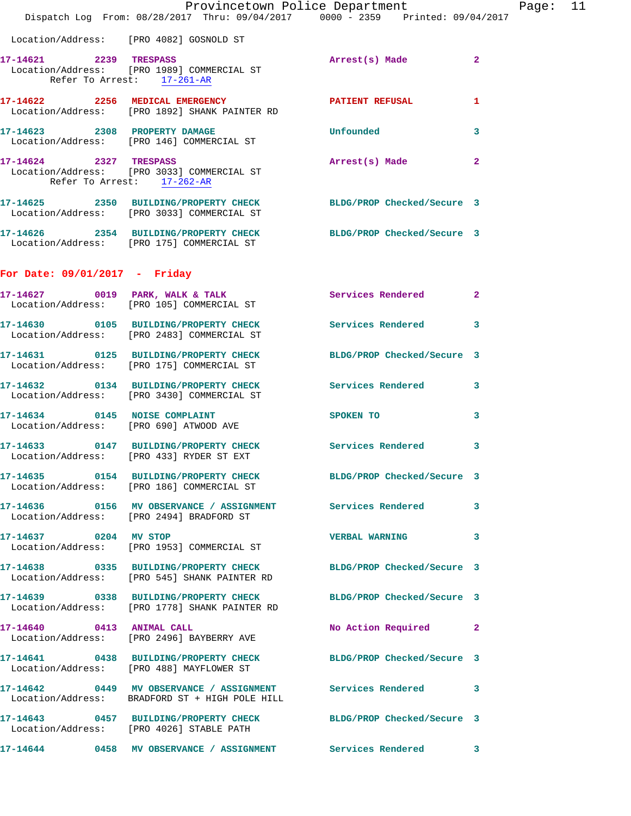|                                                      | Dispatch Log From: 08/28/2017 Thru: 09/04/2017 0000 - 2359 Printed: 09/04/2017                                    | Provincetown Police Department                                                                                                                                                                                                |              | Page: 11 |  |
|------------------------------------------------------|-------------------------------------------------------------------------------------------------------------------|-------------------------------------------------------------------------------------------------------------------------------------------------------------------------------------------------------------------------------|--------------|----------|--|
|                                                      | Location/Address: [PRO 4082] GOSNOLD ST                                                                           |                                                                                                                                                                                                                               |              |          |  |
| Refer To Arrest: 17-261-AR                           | 17-14621 2239 TRESPASS<br>Location/Address: [PRO 1989] COMMERCIAL ST                                              | Arrest(s) Made 2                                                                                                                                                                                                              |              |          |  |
|                                                      | 17-14622 2256 MEDICAL EMERGENCY PATIENT REFUSAL<br>Location/Address: [PRO 1892] SHANK PAINTER RD                  |                                                                                                                                                                                                                               | $\mathbf{1}$ |          |  |
|                                                      | 17-14623 2308 PROPERTY DAMAGE<br>Location/Address: [PRO 146] COMMERCIAL ST                                        | <b>Unfounded</b>                                                                                                                                                                                                              | 3            |          |  |
| 17-14624 2327 TRESPASS<br>Refer To Arrest: 17-262-AR | Location/Address: [PRO 3033] COMMERCIAL ST                                                                        | Arrest(s) Made                                                                                                                                                                                                                | $\mathbf{2}$ |          |  |
|                                                      | 17-14625 2350 BUILDING/PROPERTY CHECK BLDG/PROP Checked/Secure 3<br>Location/Address: [PRO 3033] COMMERCIAL ST    |                                                                                                                                                                                                                               |              |          |  |
|                                                      | 17-14626 2354 BUILDING/PROPERTY CHECK BLDG/PROP Checked/Secure 3<br>Location/Address: [PRO 175] COMMERCIAL ST     |                                                                                                                                                                                                                               |              |          |  |
| For Date: $09/01/2017$ - Friday                      |                                                                                                                   |                                                                                                                                                                                                                               |              |          |  |
|                                                      | 17-14627 0019 PARK, WALK & TALK Services Rendered 2<br>Location/Address: [PRO 105] COMMERCIAL ST                  |                                                                                                                                                                                                                               |              |          |  |
|                                                      | 17-14630 0105 BUILDING/PROPERTY CHECK Services Rendered 3<br>Location/Address: [PRO 2483] COMMERCIAL ST           |                                                                                                                                                                                                                               |              |          |  |
|                                                      | 17-14631 0125 BUILDING/PROPERTY CHECK<br>Location/Address: [PRO 175] COMMERCIAL ST                                | BLDG/PROP Checked/Secure 3                                                                                                                                                                                                    |              |          |  |
|                                                      | 17-14632 0134 BUILDING/PROPERTY CHECK Services Rendered 3<br>Location/Address: [PRO 3430] COMMERCIAL ST           |                                                                                                                                                                                                                               |              |          |  |
|                                                      | 17-14634 0145 NOISE COMPLAINT<br>Location/Address: [PRO 690] ATWOOD AVE                                           | SPOKEN TO AND TO A REAL PROPERTY OF THE STATE OF THE STATE OF THE STATE OF THE STATE OF THE STATE OF THE STATE OF THE STATE OF THE STATE OF THE STATE OF THE STATE OF THE STATE OF THE STATE OF THE STATE OF THE STATE OF THE | 3            |          |  |
|                                                      | 17-14633 0147 BUILDING/PROPERTY CHECK Services Rendered 3<br>Location/Address: [PRO 433] RYDER ST EXT             |                                                                                                                                                                                                                               |              |          |  |
|                                                      | 17-14635 0154 BUILDING/PROPERTY CHECK BLDG/PROP Checked/Secure 3<br>Location/Address: [PRO 186] COMMERCIAL ST     |                                                                                                                                                                                                                               |              |          |  |
|                                                      | Location/Address: [PRO 2494] BRADFORD ST                                                                          |                                                                                                                                                                                                                               |              |          |  |
| 17-14637 0204 MV STOP                                | Location/Address: [PRO 1953] COMMERCIAL ST                                                                        | VERBAL WARNING 3                                                                                                                                                                                                              |              |          |  |
|                                                      | 17-14638 0335 BUILDING/PROPERTY CHECK BLDG/PROP Checked/Secure 3<br>Location/Address: [PRO 545] SHANK PAINTER RD  |                                                                                                                                                                                                                               |              |          |  |
|                                                      | 17-14639 0338 BUILDING/PROPERTY CHECK BLDG/PROP Checked/Secure 3<br>Location/Address: [PRO 1778] SHANK PAINTER RD |                                                                                                                                                                                                                               |              |          |  |
|                                                      | 17-14640 0413 ANIMAL CALL<br>Location/Address: [PRO 2496] BAYBERRY AVE                                            | No Action Required 2                                                                                                                                                                                                          |              |          |  |
|                                                      | 17-14641 0438 BUILDING/PROPERTY CHECK BLDG/PROP Checked/Secure 3<br>Location/Address: [PRO 488] MAYFLOWER ST      |                                                                                                                                                                                                                               |              |          |  |
|                                                      | 17-14642 0449 MV OBSERVANCE / ASSIGNMENT Services Rendered 3<br>Location/Address: BRADFORD ST + HIGH POLE HILL    |                                                                                                                                                                                                                               |              |          |  |
|                                                      | 17-14643 0457 BUILDING/PROPERTY CHECK BLDG/PROP Checked/Secure 3<br>Location/Address: [PRO 4026] STABLE PATH      |                                                                                                                                                                                                                               |              |          |  |
|                                                      | 17-14644 0458 MV OBSERVANCE / ASSIGNMENT Services Rendered 3                                                      |                                                                                                                                                                                                                               |              |          |  |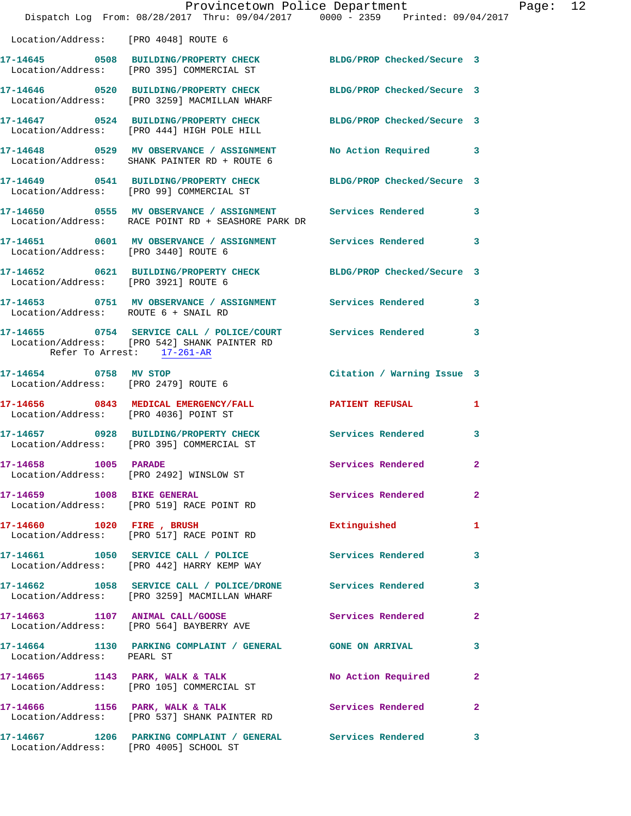|                                        | Provincetown Police Department Page: 12<br>Dispatch Log From: 08/28/2017 Thru: 09/04/2017 0000 - 2359 Printed: 09/04/2017 |                            |              |  |
|----------------------------------------|---------------------------------------------------------------------------------------------------------------------------|----------------------------|--------------|--|
| Location/Address: [PRO 4048] ROUTE 6   |                                                                                                                           |                            |              |  |
|                                        | 17-14645 0508 BUILDING/PROPERTY CHECK BLDG/PROP Checked/Secure 3<br>Location/Address: [PRO 395] COMMERCIAL ST             |                            |              |  |
|                                        | 17-14646 0520 BUILDING/PROPERTY CHECK BLDG/PROP Checked/Secure 3<br>Location/Address: [PRO 3259] MACMILLAN WHARF          |                            |              |  |
|                                        | 17-14647 0524 BUILDING/PROPERTY CHECK BLDG/PROP Checked/Secure 3<br>Location/Address: [PRO 444] HIGH POLE HILL            |                            |              |  |
|                                        | 17-14648 0529 MV OBSERVANCE / ASSIGNMENT No Action Required 3<br>Location/Address: SHANK PAINTER RD + ROUTE 6             |                            |              |  |
|                                        | 17-14649 0541 BUILDING/PROPERTY CHECK BLDG/PROP Checked/Secure 3<br>Location/Address: [PRO 99] COMMERCIAL ST              |                            |              |  |
|                                        | 17-14650 0555 MV OBSERVANCE / ASSIGNMENT Services Rendered<br>Location/Address: RACE POINT RD + SEASHORE PARK DR          |                            | 3            |  |
| Location/Address: [PRO 3440] ROUTE 6   | 17-14651 0601 MV OBSERVANCE / ASSIGNMENT Services Rendered 3                                                              |                            |              |  |
|                                        | 17-14652 0621 BUILDING/PROPERTY CHECK BLDG/PROP Checked/Secure 3<br>Location/Address: [PRO 3921] ROUTE 6                  |                            |              |  |
| Location/Address: ROUTE 6 + SNAIL RD   | 17-14653 0751 MV OBSERVANCE / ASSIGNMENT Services Rendered                                                                |                            | 3            |  |
| Refer To Arrest: 17-261-AR             | 17-14655 0754 SERVICE CALL / POLICE/COURT Services Rendered 3<br>Location/Address: [PRO 542] SHANK PAINTER RD             |                            |              |  |
|                                        | 17-14654 0758 MV STOP<br>Location/Address: [PRO 2479] ROUTE 6                                                             | Citation / Warning Issue 3 |              |  |
| Location/Address: [PRO 4036] POINT ST  | 17-14656 0843 MEDICAL EMERGENCY/FALL 2 PATIENT REFUSAL 1                                                                  |                            |              |  |
|                                        | 17-14657 0928 BUILDING/PROPERTY CHECK Services Rendered<br>Location/Address: [PRO 395] COMMERCIAL ST                      |                            | 3            |  |
| 17-14658 1005 PARADE                   | Location/Address: [PRO 2492] WINSLOW ST                                                                                   | Services Rendered          | $\mathbf{2}$ |  |
| 17-14659 1008 BIKE GENERAL             | Location/Address: [PRO 519] RACE POINT RD                                                                                 | Services Rendered          | $\mathbf{2}$ |  |
|                                        | 17-14660 1020 FIRE, BRUSH<br>Location/Address: [PRO 517] RACE POINT RD                                                    | Extinguished               | $\mathbf{1}$ |  |
|                                        | 17-14661 1050 SERVICE CALL / POLICE Services Rendered<br>Location/Address: [PRO 442] HARRY KEMP WAY                       |                            | 3            |  |
|                                        | 17-14662 1058 SERVICE CALL / POLICE/DRONE Services Rendered<br>Location/Address: [PRO 3259] MACMILLAN WHARF               |                            | 3            |  |
|                                        | 17-14663 1107 ANIMAL CALL/GOOSE<br>Location/Address: [PRO 564] BAYBERRY AVE                                               | Services Rendered          | $\mathbf{2}$ |  |
| Location/Address: PEARL ST             | 17-14664 1130 PARKING COMPLAINT / GENERAL GONE ON ARRIVAL                                                                 |                            | 3            |  |
|                                        | 17-14665 1143 PARK, WALK & TALK<br>Location/Address: [PRO 105] COMMERCIAL ST                                              | No Action Required         | $\mathbf{2}$ |  |
|                                        | 17-14666 1156 PARK, WALK & TALK 1988 Services Rendered 2<br>Location/Address: [PRO 537] SHANK PAINTER RD                  |                            |              |  |
| Location/Address: [PRO 4005] SCHOOL ST | 17-14667 1206 PARKING COMPLAINT / GENERAL Services Rendered                                                               |                            | 3            |  |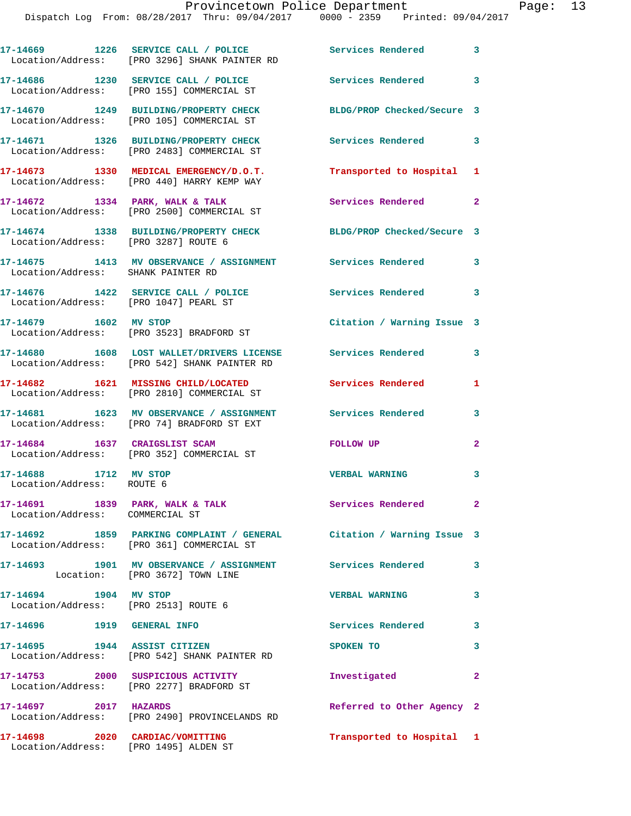**17-14669 1226 SERVICE CALL / POLICE Services Rendered 3** 

|                                                                          | Location/Address: [PRO 3296] SHANK PAINTER RD                                                                     |                            |                         |
|--------------------------------------------------------------------------|-------------------------------------------------------------------------------------------------------------------|----------------------------|-------------------------|
|                                                                          | 17-14686 1230 SERVICE CALL / POLICE<br>Location/Address: [PRO 155] COMMERCIAL ST                                  | Services Rendered 3        |                         |
|                                                                          | 17-14670 1249 BUILDING/PROPERTY CHECK<br>Location/Address: [PRO 105] COMMERCIAL ST                                | BLDG/PROP Checked/Secure 3 |                         |
|                                                                          | 17-14671 1326 BUILDING/PROPERTY CHECK<br>Location/Address: [PRO 2483] COMMERCIAL ST                               | Services Rendered 3        |                         |
|                                                                          | 17-14673 1330 MEDICAL EMERGENCY/D.O.T.<br>Location/Address: [PRO 440] HARRY KEMP WAY                              | Transported to Hospital 1  |                         |
|                                                                          | 17-14672 1334 PARK, WALK & TALK<br>Location/Address: [PRO 2500] COMMERCIAL ST                                     | Services Rendered 2        |                         |
| Location/Address: [PRO 3287] ROUTE 6                                     | 17-14674 1338 BUILDING/PROPERTY CHECK BLDG/PROP Checked/Secure 3                                                  |                            |                         |
| Location/Address: SHANK PAINTER RD                                       | 17-14675 1413 MV OBSERVANCE / ASSIGNMENT Services Rendered 3                                                      |                            |                         |
|                                                                          | 17-14676 1422 SERVICE CALL / POLICE<br>Location/Address: [PRO 1047] PEARL ST                                      | Services Rendered 3        |                         |
| 17-14679   1602 MV STOP                                                  | Location/Address: [PRO 3523] BRADFORD ST                                                                          | Citation / Warning Issue 3 |                         |
|                                                                          | 17-14680 1608 LOST WALLET/DRIVERS LICENSE Services Rendered<br>Location/Address: [PRO 542] SHANK PAINTER RD       |                            | 3                       |
|                                                                          | 17-14682 1621 MISSING CHILD/LOCATED<br>Location/Address: [PRO 2810] COMMERCIAL ST                                 | Services Rendered          | 1                       |
|                                                                          | 17-14681 1623 MV OBSERVANCE / ASSIGNMENT<br>Location/Address: [PRO 74] BRADFORD ST EXT                            | Services Rendered          | $\overline{\mathbf{3}}$ |
| 17-14684 1637 CRAIGSLIST SCAM                                            | Location/Address: [PRO 352] COMMERCIAL ST                                                                         | FOLLOW UP                  | $\mathbf{2}$            |
| 17-14688 1712 MV STOP<br>Location/Address: ROUTE 6                       |                                                                                                                   | <b>VERBAL WARNING</b>      | $\overline{\mathbf{3}}$ |
| Location/Address: COMMERCIAL ST                                          | 17-14691 1839 PARK, WALK & TALK                                                                                   | Services Rendered 2        |                         |
|                                                                          | 17-14692 1859 PARKING COMPLAINT / GENERAL Citation / Warning Issue 3<br>Location/Address: [PRO 361] COMMERCIAL ST |                            |                         |
|                                                                          | 17-14693 1901 MV OBSERVANCE / ASSIGNMENT Services Rendered 3<br>Location: [PRO 3672] TOWN LINE                    |                            |                         |
| 17-14694 1904 MV STOP<br>Location/Address: [PRO 2513] ROUTE 6            |                                                                                                                   | <b>VERBAL WARNING</b>      | $\mathbf{3}$            |
|                                                                          |                                                                                                                   | <b>Services Rendered</b>   | $\mathbf{3}$            |
| 17-14695 1944 ASSIST CITIZEN                                             | Location/Address: [PRO 542] SHANK PAINTER RD                                                                      | SPOKEN TO                  | 3                       |
|                                                                          | 17-14753 2000 SUSPICIOUS ACTIVITY<br>Location/Address: [PRO 2277] BRADFORD ST                                     | Investigated               | $\mathbf{2}$            |
|                                                                          | 17-14697 2017 HAZARDS<br>Location/Address: [PRO 2490] PROVINCELANDS RD                                            | Referred to Other Agency 2 |                         |
| 17-14698 2020 CARDIAC/VOMITTING<br>Location/Address: [PRO 1495] ALDEN ST |                                                                                                                   | Transported to Hospital 1  |                         |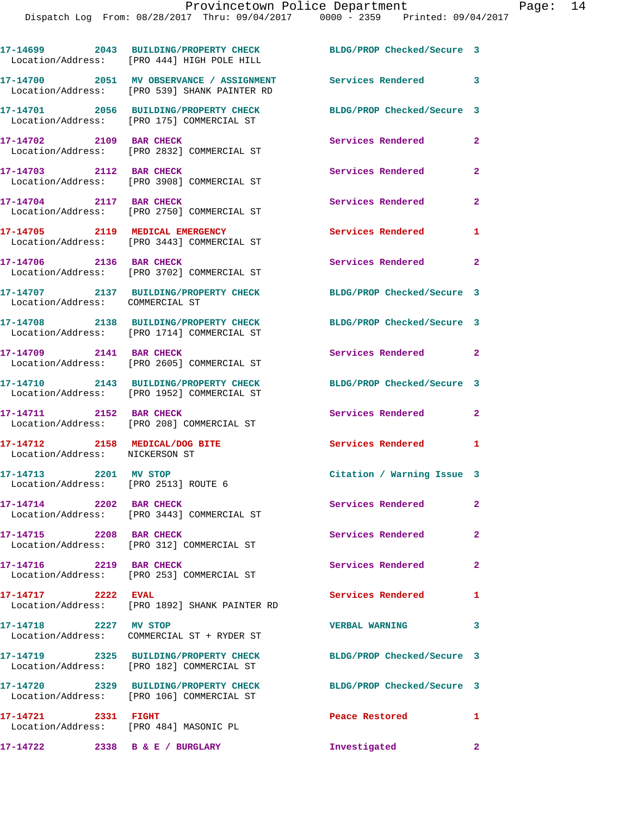|                                                                  | 17-14699 2043 BUILDING/PROPERTY CHECK<br>Location/Address: [PRO 444] HIGH POLE HILL                          | BLDG/PROP Checked/Secure 3 |                |
|------------------------------------------------------------------|--------------------------------------------------------------------------------------------------------------|----------------------------|----------------|
|                                                                  | 17-14700 2051 MV OBSERVANCE / ASSIGNMENT Services Rendered 3<br>Location/Address: [PRO 539] SHANK PAINTER RD |                            |                |
|                                                                  | 17-14701 2056 BUILDING/PROPERTY CHECK<br>Location/Address: [PRO 175] COMMERCIAL ST                           | BLDG/PROP Checked/Secure 3 |                |
| 17-14702 2109 BAR CHECK                                          | Location/Address: [PRO 2832] COMMERCIAL ST                                                                   | Services Rendered          | $\mathbf{2}$   |
| 17-14703 2112 BAR CHECK                                          | Location/Address: [PRO 3908] COMMERCIAL ST                                                                   | Services Rendered          | $\mathbf{2}$   |
| 17-14704 2117 BAR CHECK                                          | Location/Address: [PRO 2750] COMMERCIAL ST                                                                   | Services Rendered          | $\mathbf{2}$   |
|                                                                  | 17-14705 2119 MEDICAL EMERGENCY<br>Location/Address: [PRO 3443] COMMERCIAL ST                                | Services Rendered          | 1              |
| 17-14706 2136 BAR CHECK                                          | Location/Address: [PRO 3702] COMMERCIAL ST                                                                   | Services Rendered          | $\mathbf{2}$   |
| Location/Address: COMMERCIAL ST                                  | 17-14707 2137 BUILDING/PROPERTY CHECK                                                                        | BLDG/PROP Checked/Secure 3 |                |
|                                                                  | 17-14708 2138 BUILDING/PROPERTY CHECK<br>Location/Address: [PRO 1714] COMMERCIAL ST                          | BLDG/PROP Checked/Secure 3 |                |
| 17-14709 2141 BAR CHECK                                          | Location/Address: [PRO 2605] COMMERCIAL ST                                                                   | Services Rendered 2        |                |
|                                                                  | 17-14710 2143 BUILDING/PROPERTY CHECK<br>Location/Address: [PRO 1952] COMMERCIAL ST                          | BLDG/PROP Checked/Secure 3 |                |
| 17-14711 2152 BAR CHECK                                          | Location/Address: [PRO 208] COMMERCIAL ST                                                                    | Services Rendered          | $\mathbf{2}$   |
| 17-14712 2158 MEDICAL/DOG BITE<br>Location/Address: NICKERSON ST |                                                                                                              | Services Rendered          | 1              |
| 17-14713 2201 MV STOP<br>Location/Address: [PRO 2513] ROUTE 6    |                                                                                                              | Citation / Warning Issue 3 |                |
| 17-14714 2202 BAR CHECK                                          | Location/Address: [PRO 3443] COMMERCIAL ST                                                                   | <b>Services Rendered</b>   | $\mathbf{2}^-$ |
| 17-14715 2208 BAR CHECK                                          | Location/Address: [PRO 312] COMMERCIAL ST                                                                    | Services Rendered          | $\overline{2}$ |
| 17-14716 2219 BAR CHECK                                          | Location/Address: [PRO 253] COMMERCIAL ST                                                                    | Services Rendered          | $\mathbf{2}$   |
| 17-14717 2222 EVAL                                               | Location/Address: [PRO 1892] SHANK PAINTER RD                                                                | Services Rendered          | 1              |
| 17-14718 2227 MV STOP                                            | Location/Address: COMMERCIAL ST + RYDER ST                                                                   | <b>VERBAL WARNING</b>      | 3              |
|                                                                  | 17-14719 2325 BUILDING/PROPERTY CHECK<br>Location/Address: [PRO 182] COMMERCIAL ST                           | BLDG/PROP Checked/Secure 3 |                |
|                                                                  | 17-14720 2329 BUILDING/PROPERTY CHECK<br>Location/Address: [PRO 106] COMMERCIAL ST                           | BLDG/PROP Checked/Secure 3 |                |
| 17-14721 2331 FIGHT                                              | Location/Address: [PRO 484] MASONIC PL                                                                       | Peace Restored             | 1.             |
| 17-14722 2338 B & E / BURGLARY                                   |                                                                                                              | Investigated               | $\mathbf{2}$   |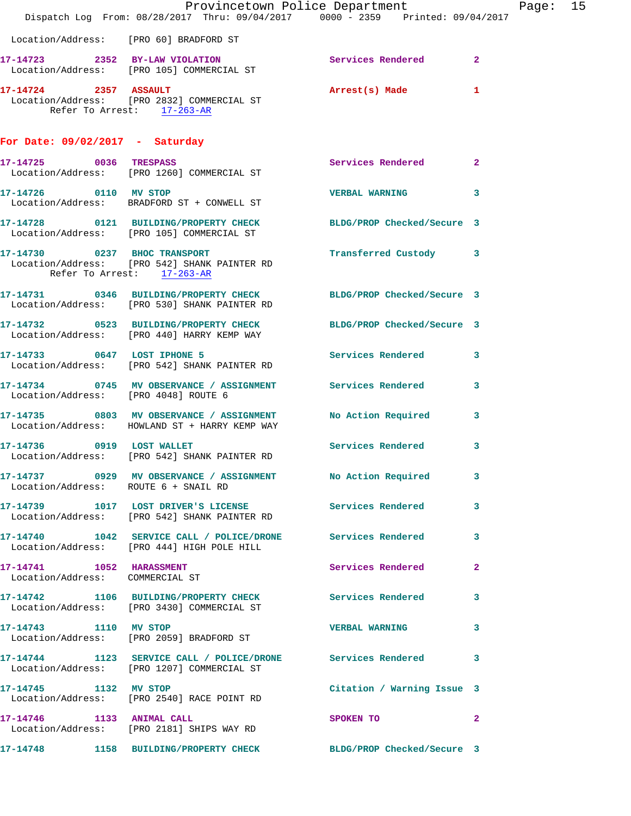|                                      | Dispatch Log From: 08/28/2017 Thru: 09/04/2017 0000 - 2359 Printed: 09/04/2017                                   | Provincetown Police Department |              | Page: 15 |  |
|--------------------------------------|------------------------------------------------------------------------------------------------------------------|--------------------------------|--------------|----------|--|
|                                      | Location/Address: [PRO 60] BRADFORD ST                                                                           |                                |              |          |  |
|                                      | 17-14723 2352 BY-LAW VIOLATION Services Rendered 2<br>Location/Address: [PRO 105] COMMERCIAL ST                  |                                |              |          |  |
|                                      | 17-14724 2357 ASSAULT<br>Location/Address: [PRO 2832] COMMERCIAL ST<br>Refer To Arrest: 17-263-AR                | Arrest(s) Made                 | $\mathbf{1}$ |          |  |
| For Date: $09/02/2017$ - Saturday    |                                                                                                                  |                                |              |          |  |
|                                      | 17-14725 0036 TRESPASS<br>Location/Address: [PRO 1260] COMMERCIAL ST                                             | Services Rendered 2            |              |          |  |
| 17-14726 0110 MV STOP                | Location/Address: BRADFORD ST + CONWELL ST                                                                       | <b>VERBAL WARNING</b>          | 3            |          |  |
|                                      | 17-14728 0121 BUILDING/PROPERTY CHECK<br>Location/Address: [PRO 105] COMMERCIAL ST                               | BLDG/PROP Checked/Secure 3     |              |          |  |
|                                      | 17-14730 0237 BHOC TRANSPORT<br>Location/Address: [PRO 542] SHANK PAINTER RD<br>Refer To Arrest: 17-263-AR       | Transferred Custody 3          |              |          |  |
|                                      | 17-14731 0346 BUILDING/PROPERTY CHECK BLDG/PROP Checked/Secure 3<br>Location/Address: [PRO 530] SHANK PAINTER RD |                                |              |          |  |
|                                      | 17-14732 0523 BUILDING/PROPERTY CHECK BLDG/PROP Checked/Secure 3<br>Location/Address: [PRO 440] HARRY KEMP WAY   |                                |              |          |  |
| 17-14733 0647 LOST IPHONE 5          | Location/Address: [PRO 542] SHANK PAINTER RD                                                                     | Services Rendered 3            |              |          |  |
| Location/Address: [PRO 4048] ROUTE 6 | 17-14734 0745 MV OBSERVANCE / ASSIGNMENT Services Rendered                                                       |                                | 3            |          |  |
|                                      | 17-14735 0803 MV OBSERVANCE / ASSIGNMENT No Action Required<br>Location/Address: HOWLAND ST + HARRY KEMP WAY     |                                | 3            |          |  |
|                                      | 17-14736 0919 LOST WALLET<br>Location/Address: [PRO 542] SHANK PAINTER RD                                        | Services Rendered              | 3            |          |  |
| Location/Address: ROUTE 6 + SNAIL RD | 17-14737 0929 MV OBSERVANCE / ASSIGNMENT No Action Required 3                                                    |                                |              |          |  |
|                                      | 17-14739 1017 LOST DRIVER'S LICENSE Services Rendered 3<br>Location/Address: [PRO 542] SHANK PAINTER RD          |                                |              |          |  |
|                                      | 17-14740 1042 SERVICE CALL / POLICE/DRONE Services Rendered 3<br>Location/Address: [PRO 444] HIGH POLE HILL      |                                |              |          |  |
| Location/Address: COMMERCIAL ST      | 17-14741 1052 HARASSMENT                                                                                         | Services Rendered              | $\mathbf{2}$ |          |  |
|                                      | 17-14742 1106 BUILDING/PROPERTY CHECK Services Rendered 3<br>Location/Address: [PRO 3430] COMMERCIAL ST          |                                |              |          |  |
|                                      | 17-14743 1110 MV STOP<br>Location/Address: [PRO 2059] BRADFORD ST                                                | <b>VERBAL WARNING</b>          | 3            |          |  |
|                                      | 17-14744 1123 SERVICE CALL / POLICE/DRONE Services Rendered 3<br>Location/Address: [PRO 1207] COMMERCIAL ST      |                                |              |          |  |
|                                      | 17-14745 1132 MV STOP<br>Location/Address: [PRO 2540] RACE POINT RD                                              | Citation / Warning Issue 3     |              |          |  |
| 17-14746 1133 ANIMAL CALL            | Location/Address: [PRO 2181] SHIPS WAY RD                                                                        | SPOKEN TO                      | $\mathbf{2}$ |          |  |
|                                      | 17-14748 1158 BUILDING/PROPERTY CHECK BLDG/PROP Checked/Secure 3                                                 |                                |              |          |  |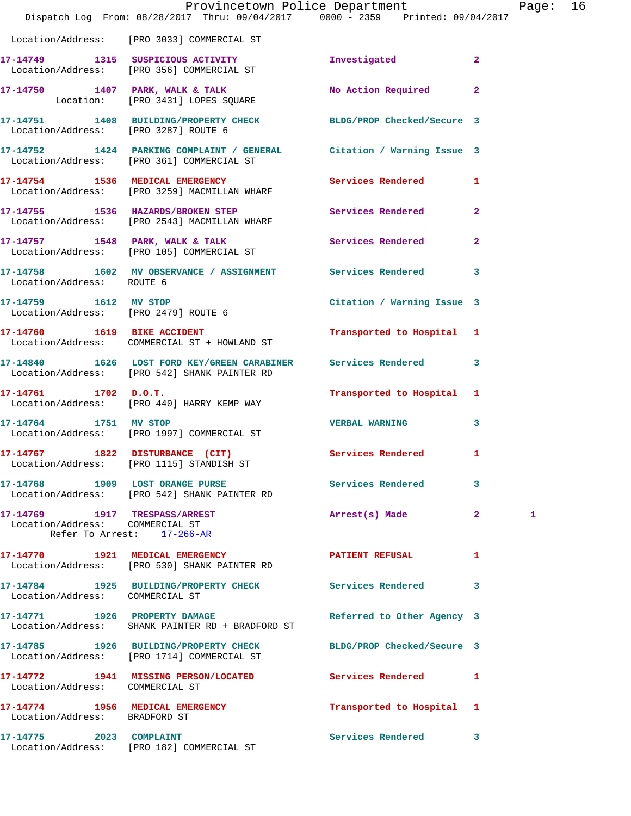|                                                               | Provincetown Police Department The Rage: 16<br>Dispatch Log From: 08/28/2017 Thru: 09/04/2017 0000 - 2359 Printed: 09/04/2017 |                            |                |   |  |
|---------------------------------------------------------------|-------------------------------------------------------------------------------------------------------------------------------|----------------------------|----------------|---|--|
|                                                               | Location/Address: [PRO 3033] COMMERCIAL ST                                                                                    |                            |                |   |  |
|                                                               | 17-14749 1315 SUSPICIOUS ACTIVITY 1nvestigated 2<br>Location/Address: [PRO 356] COMMERCIAL ST                                 |                            |                |   |  |
|                                                               | 17-14750 1407 PARK, WALK & TALK<br>Location: [PRO 3431] LOPES SQUARE                                                          | No Action Required 2       |                |   |  |
| Location/Address: [PRO 3287] ROUTE 6                          | 17-14751 1408 BUILDING/PROPERTY CHECK BLDG/PROP Checked/Secure 3                                                              |                            |                |   |  |
|                                                               | 17-14752 1424 PARKING COMPLAINT / GENERAL Citation / Warning Issue 3<br>Location/Address: [PRO 361] COMMERCIAL ST             |                            |                |   |  |
|                                                               | 17-14754 1536 MEDICAL EMERGENCY<br>Location/Address: [PRO 3259] MACMILLAN WHARF                                               | Services Rendered 1        |                |   |  |
|                                                               | 17-14755 1536 HAZARDS/BROKEN STEP Services Rendered 2<br>Location/Address: [PRO 2543] MACMILLAN WHARF                         |                            |                |   |  |
|                                                               | 17-14757 1548 PARK, WALK & TALK<br>Location/Address: [PRO 105] COMMERCIAL ST                                                  | Services Rendered          | $\overline{2}$ |   |  |
| Location/Address: ROUTE 6                                     | 17-14758 1602 MV OBSERVANCE / ASSIGNMENT Services Rendered 3                                                                  |                            |                |   |  |
| 17-14759 1612 MV STOP                                         | Location/Address: [PRO 2479] ROUTE 6                                                                                          | Citation / Warning Issue 3 |                |   |  |
|                                                               | 17-14760 1619 BIKE ACCIDENT<br>Location/Address: COMMERCIAL ST + HOWLAND ST                                                   | Transported to Hospital 1  |                |   |  |
|                                                               | 17-14840 1626 LOST FORD KEY/GREEN CARABINER Services Rendered 3<br>Location/Address: [PRO 542] SHANK PAINTER RD               |                            |                |   |  |
|                                                               | $17-14761$ 1702 D.O.T.<br>Location/Address: [PRO 440] HARRY KEMP WAY                                                          | Transported to Hospital 1  |                |   |  |
| 17-14764 1751 MV STOP                                         | Location/Address: [PRO 1997] COMMERCIAL ST                                                                                    | VERBAL WARNING 3           |                |   |  |
|                                                               | 17-14767 1822 DISTURBANCE (CIT)<br>Location/Address: [PRO 1115] STANDISH ST                                                   | <b>Services Rendered</b>   | $\mathbf{1}$   |   |  |
|                                                               | 17-14768 1909 LOST ORANGE PURSE<br>Location/Address: [PRO 542] SHANK PAINTER RD                                               | Services Rendered          | 3              |   |  |
| Location/Address: COMMERCIAL ST<br>Refer To Arrest: 17-266-AR | 17-14769 1917 TRESPASS/ARREST                                                                                                 | Arrest(s) Made 2           |                | 1 |  |
|                                                               | 17-14770 1921 MEDICAL EMERGENCY<br>Location/Address: [PRO 530] SHANK PAINTER RD                                               | <b>PATIENT REFUSAL</b>     | 1              |   |  |
| Location/Address: COMMERCIAL ST                               | 17-14784 1925 BUILDING/PROPERTY CHECK Services Rendered                                                                       |                            | 3              |   |  |
| 17-14771 1926 PROPERTY DAMAGE                                 | Location/Address: SHANK PAINTER RD + BRADFORD ST                                                                              | Referred to Other Agency 3 |                |   |  |
|                                                               | 17-14785 1926 BUILDING/PROPERTY CHECK<br>Location/Address: [PRO 1714] COMMERCIAL ST                                           | BLDG/PROP Checked/Secure 3 |                |   |  |
| Location/Address: COMMERCIAL ST                               | 17-14772 1941 MISSING PERSON/LOCATED Services Rendered 1                                                                      |                            |                |   |  |
| Location/Address: BRADFORD ST                                 | 17-14774 1956 MEDICAL EMERGENCY                                                                                               | Transported to Hospital 1  |                |   |  |
| 17-14775 2023 COMPLAINT                                       | Location/Address: [PRO 182] COMMERCIAL ST                                                                                     | Services Rendered 3        |                |   |  |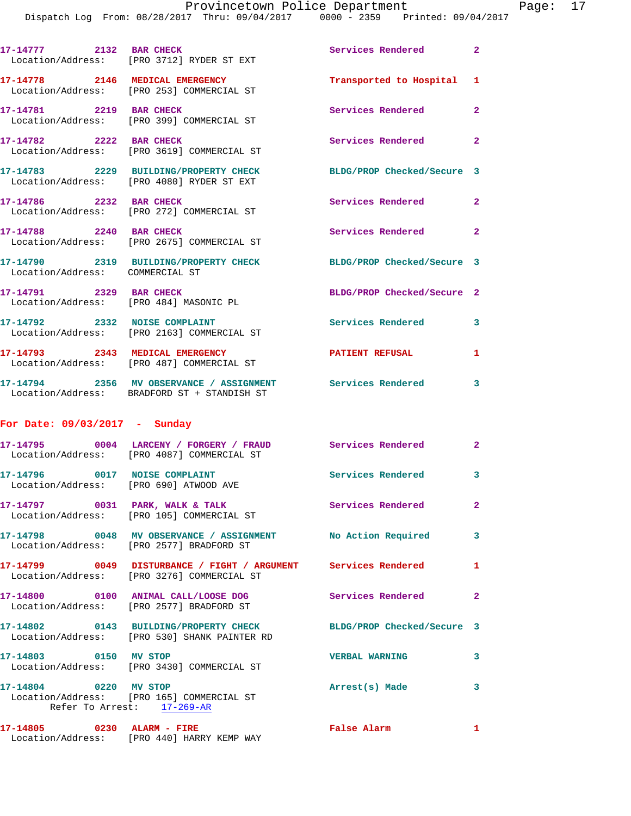| 17-14777 2132 BAR CHECK                                                 | Location/Address: [PRO 3712] RYDER ST EXT                                                                    | Services Rendered 2                      |                            |
|-------------------------------------------------------------------------|--------------------------------------------------------------------------------------------------------------|------------------------------------------|----------------------------|
|                                                                         | 17-14778 2146 MEDICAL EMERGENCY<br>Location/Address: [PRO 253] COMMERCIAL ST                                 | Transported to Hospital 1                |                            |
| 17-14781 2219 BAR CHECK                                                 | Location/Address: [PRO 399] COMMERCIAL ST                                                                    | Services Rendered 2                      |                            |
| 17-14782 2222 BAR CHECK                                                 | Location/Address: [PRO 3619] COMMERCIAL ST                                                                   | Services Rendered 2                      |                            |
|                                                                         | 17-14783 2229 BUILDING/PROPERTY CHECK<br>Location/Address: [PRO 4080] RYDER ST EXT                           | BLDG/PROP Checked/Secure 3               |                            |
| 17-14786 2232 BAR CHECK                                                 | Location/Address: [PRO 272] COMMERCIAL ST                                                                    | Services Rendered                        | $\mathbf{2}$               |
| 17-14788 2240 BAR CHECK                                                 | Location/Address: [PRO 2675] COMMERCIAL ST                                                                   | Services Rendered                        | $\overline{\phantom{0}}$ 2 |
| Location/Address: COMMERCIAL ST                                         | 17-14790 2319 BUILDING/PROPERTY CHECK                                                                        | BLDG/PROP Checked/Secure 3               |                            |
| 17-14791 2329 BAR CHECK                                                 | Location/Address: [PRO 484] MASONIC PL                                                                       | BLDG/PROP Checked/Secure 2               |                            |
|                                                                         | 17-14792 2332 NOISE COMPLAINT<br>Location/Address: [PRO 2163] COMMERCIAL ST                                  | <b>Services Rendered</b> 3               |                            |
|                                                                         | 17-14793 2343 MEDICAL EMERGENCY<br>Location/Address: [PRO 487] COMMERCIAL ST                                 | <b>PATIENT REFUSAL</b>                   | 1                          |
|                                                                         | 17-14794 2356 MV OBSERVANCE / ASSIGNMENT Services Rendered 3<br>Location/Address: BRADFORD ST + STANDISH ST  |                                          |                            |
| For Date: $09/03/2017$ - Sunday                                         |                                                                                                              |                                          |                            |
|                                                                         | 17-14795 0004 LARCENY / FORGERY / FRAUD Services Rendered 2<br>Location/Address: [PRO 4087] COMMERCIAL ST    |                                          |                            |
| 17-14796 0017 NOISE COMPLAINT<br>Location/Address: [PRO 690] ATWOOD AVE |                                                                                                              | Services Rendered 3                      |                            |
|                                                                         | 17-14797 0031 PARK, WALK & TALK<br>Location/Address: [PRO 105] COMMERCIAL ST                                 | <b>Services Rendered</b>                 | $\mathbf{2}$               |
|                                                                         | 17-14798 0048 MV OBSERVANCE / ASSIGNMENT No Action Required 3<br>Location/Address: [PRO 2577] BRADFORD ST    |                                          |                            |
|                                                                         | 17-14799 0049 DISTURBANCE / FIGHT / ARGUMENT Services Rendered<br>Location/Address: [PRO 3276] COMMERCIAL ST |                                          | 1                          |
|                                                                         | 17-14800 0100 ANIMAL CALL/LOOSE DOG<br>Location/Address: [PRO 2577] BRADFORD ST                              | <b>Services Rendered</b>                 | $\mathbf{2}$               |
|                                                                         | 17-14802 0143 BUILDING/PROPERTY CHECK<br>Location/Address: [PRO 530] SHANK PAINTER RD                        | BLDG/PROP Checked/Secure 3               |                            |
| 17-14803 0150 MV STOP                                                   | Location/Address: [PRO 3430] COMMERCIAL ST                                                                   | <b>VERBAL WARNING</b>                    | $\overline{\mathbf{3}}$    |
| 17-14804 0220 MV STOP                                                   | Location/Address: [PRO 165] COMMERCIAL ST<br>Refer To Arrest: 17-269-AR                                      | Arrest(s) Made<br>$\sim$ $\sim$ $\sim$ 3 |                            |
| 17-14805 0230 ALARM - FIRE                                              | Location/Address: [PRO 440] HARRY KEMP WAY                                                                   | False Alarm                              | 1                          |
|                                                                         |                                                                                                              |                                          |                            |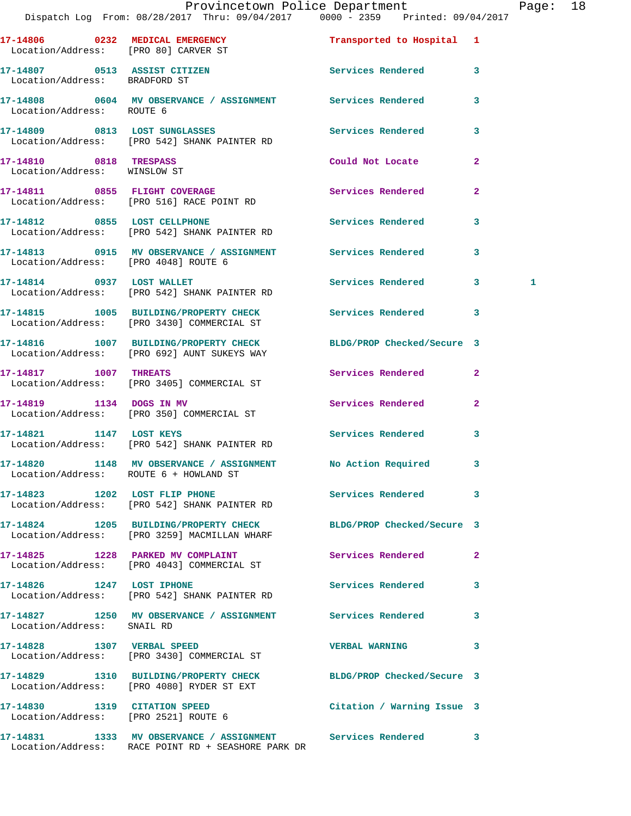|                                                        | Provincetown Police Department<br>Dispatch Log From: 08/28/2017 Thru: 09/04/2017 0000 - 2359 Printed: 09/04/2017   |                            |                         | Page: 18     |  |
|--------------------------------------------------------|--------------------------------------------------------------------------------------------------------------------|----------------------------|-------------------------|--------------|--|
| Location/Address: [PRO 80] CARVER ST                   | 17-14806 0232 MEDICAL EMERGENCY                                                                                    | Transported to Hospital 1  |                         |              |  |
| Location/Address: BRADFORD ST                          | 17-14807 0513 ASSIST CITIZEN                                                                                       | Services Rendered 3        |                         |              |  |
| Location/Address: ROUTE 6                              | 17-14808 0604 MV OBSERVANCE / ASSIGNMENT Services Rendered                                                         |                            | 3                       |              |  |
|                                                        | 17-14809 0813 LOST SUNGLASSES<br>Location/Address: [PRO 542] SHANK PAINTER RD                                      | Services Rendered 3        |                         |              |  |
| 17-14810 0818 TRESPASS<br>Location/Address: WINSLOW ST |                                                                                                                    | Could Not Locate           | $\mathbf{2}$            |              |  |
|                                                        | 17-14811 0855 FLIGHT COVERAGE<br>Location/Address: [PRO 516] RACE POINT RD                                         | Services Rendered          | $\mathbf{2}$            |              |  |
|                                                        | 17-14812 0855 LOST CELLPHONE<br>Location/Address: [PRO 542] SHANK PAINTER RD                                       | <b>Services Rendered</b>   | $\mathbf{3}$            |              |  |
| Location/Address: [PRO 4048] ROUTE 6                   | 17-14813 0915 MV OBSERVANCE / ASSIGNMENT Services Rendered                                                         |                            | 3                       |              |  |
|                                                        | 17-14814 0937 LOST WALLET<br>Location/Address: [PRO 542] SHANK PAINTER RD                                          | Services Rendered 3        |                         | $\mathbf{1}$ |  |
|                                                        | 17-14815 1005 BUILDING/PROPERTY CHECK Services Rendered 3<br>Location/Address: [PRO 3430] COMMERCIAL ST            |                            |                         |              |  |
|                                                        | 17-14816 1007 BUILDING/PROPERTY CHECK BLDG/PROP Checked/Secure 3<br>Location/Address: [PRO 692] AUNT SUKEYS WAY    |                            |                         |              |  |
|                                                        | 17-14817 1007 THREATS<br>Location/Address: [PRO 3405] COMMERCIAL ST                                                | Services Rendered          | $\mathbf{2}$            |              |  |
| 17-14819 1134 DOGS IN MV                               | Location/Address: [PRO 350] COMMERCIAL ST                                                                          | Services Rendered 2        |                         |              |  |
|                                                        | 17-14821 1147 LOST KEYS<br>Location/Address: [PRO 542] SHANK PAINTER RD                                            | Services Rendered          | $\overline{\mathbf{3}}$ |              |  |
| Location/Address: ROUTE 6 + HOWLAND ST                 | 17-14820 1148 MV OBSERVANCE / ASSIGNMENT                                                                           | No Action Required 3       |                         |              |  |
|                                                        | 17-14823 1202 LOST FLIP PHONE<br>Location/Address: [PRO 542] SHANK PAINTER RD                                      | Services Rendered 3        |                         |              |  |
|                                                        | 17-14824 1205 BUILDING/PROPERTY CHECK<br>Location/Address: [PRO 3259] MACMILLAN WHARF                              | BLDG/PROP Checked/Secure 3 |                         |              |  |
|                                                        | 17-14825 1228 PARKED MV COMPLAINT<br>Location/Address: [PRO 4043] COMMERCIAL ST                                    | <b>Services Rendered</b>   | $\mathbf{2}$            |              |  |
|                                                        | 17-14826 1247 LOST IPHONE<br>Location/Address: [PRO 542] SHANK PAINTER RD                                          | Services Rendered 3        |                         |              |  |
| Location/Address: SNAIL RD                             | 17-14827 1250 MV OBSERVANCE / ASSIGNMENT Services Rendered 3                                                       |                            |                         |              |  |
|                                                        | 17-14828 1307 VERBAL SPEED<br>Location/Address: [PRO 3430] COMMERCIAL ST                                           | VERBAL WARNING 3           |                         |              |  |
|                                                        | 17-14829 1310 BUILDING/PROPERTY CHECK BLDG/PROP Checked/Secure 3<br>Location/Address: [PRO 4080] RYDER ST EXT      |                            |                         |              |  |
|                                                        | 17-14830 1319 CITATION SPEED Citation / Warning Issue 3<br>Location/Address: [PRO 2521] ROUTE 6                    |                            |                         |              |  |
|                                                        | 17-14831 1333 MV OBSERVANCE / ASSIGNMENT Services Rendered 3<br>Location/Address: RACE POINT RD + SEASHORE PARK DR |                            |                         |              |  |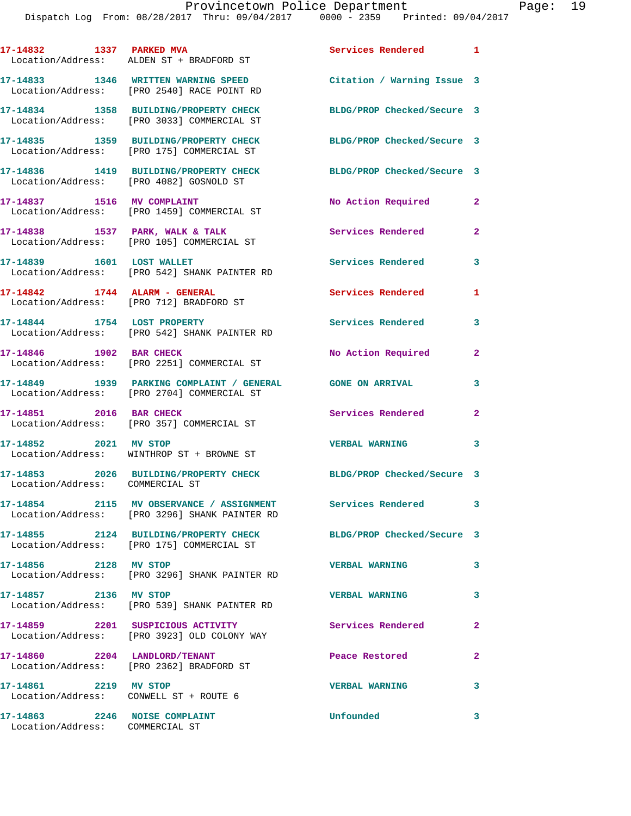|                                                                 | 17-14832 1337 PARKED MVA<br>Location/Address: ALDEN ST + BRADFORD ST                      | Services Rendered          | $\blacksquare$ |
|-----------------------------------------------------------------|-------------------------------------------------------------------------------------------|----------------------------|----------------|
|                                                                 | 17-14833 1346 WRITTEN WARNING SPEED<br>Location/Address: [PRO 2540] RACE POINT RD         | Citation / Warning Issue 3 |                |
|                                                                 | 17-14834 1358 BUILDING/PROPERTY CHECK<br>Location/Address: [PRO 3033] COMMERCIAL ST       | BLDG/PROP Checked/Secure 3 |                |
|                                                                 | 17-14835 1359 BUILDING/PROPERTY CHECK<br>Location/Address: [PRO 175] COMMERCIAL ST        | BLDG/PROP Checked/Secure 3 |                |
|                                                                 | 17-14836 1419 BUILDING/PROPERTY CHECK<br>Location/Address: [PRO 4082] GOSNOLD ST          | BLDG/PROP Checked/Secure 3 |                |
| 17-14837 1516 MV COMPLAINT                                      | Location/Address: [PRO 1459] COMMERCIAL ST                                                | No Action Required         | 2              |
|                                                                 | $17-14838$ 1537 PARK, WALK & TALK<br>Location/Address: [PRO 105] COMMERCIAL ST            | Services Rendered          | $\mathbf{2}$   |
| 17-14839 1601 LOST WALLET                                       | Location/Address: [PRO 542] SHANK PAINTER RD                                              | Services Rendered          | 3              |
|                                                                 | 17-14842 1744 ALARM - GENERAL<br>Location/Address: [PRO 712] BRADFORD ST                  | Services Rendered          | 1              |
| 17-14844 1754 LOST PROPERTY                                     | Location/Address: [PRO 542] SHANK PAINTER RD                                              | Services Rendered          | 3              |
| 17-14846 1902 BAR CHECK                                         | Location/Address: [PRO 2251] COMMERCIAL ST                                                | No Action Required         | $\mathbf{2}$   |
|                                                                 | 17-14849 1939 PARKING COMPLAINT / GENERAL<br>Location/Address: [PRO 2704] COMMERCIAL ST   | <b>GONE ON ARRIVAL</b>     | 3              |
| 17-14851 2016 BAR CHECK                                         | Location/Address: [PRO 357] COMMERCIAL ST                                                 | Services Rendered          | $\mathbf{2}$   |
| 17-14852 2021 MV STOP                                           | Location/Address: WINTHROP ST + BROWNE ST                                                 | <b>VERBAL WARNING</b>      | 3              |
| Location/Address: COMMERCIAL ST                                 | 17-14853 2026 BUILDING/PROPERTY CHECK                                                     | BLDG/PROP Checked/Secure 3 |                |
|                                                                 | 17-14854 2115 MV OBSERVANCE / ASSIGNMENT<br>Location/Address: [PRO 3296] SHANK PAINTER RD | Services Rendered          | 3              |
|                                                                 | 17-14855 2124 BUILDING/PROPERTY CHECK<br>Location/Address: [PRO 175] COMMERCIAL ST        | BLDG/PROP Checked/Secure 3 |                |
| 17-14856 2128 MV STOP                                           | Location/Address: [PRO 3296] SHANK PAINTER RD                                             | <b>VERBAL WARNING</b>      | 3              |
| 17-14857    2136 MV STOP                                        | Location/Address: [PRO 539] SHANK PAINTER RD                                              | <b>VERBAL WARNING</b>      | 3              |
|                                                                 | 17-14859 2201 SUSPICIOUS ACTIVITY<br>Location/Address: [PRO 3923] OLD COLONY WAY          | Services Rendered          | 2              |
| 17-14860 2204 LANDLORD/TENANT                                   | Location/Address: [PRO 2362] BRADFORD ST                                                  | Peace Restored             | $\mathbf{2}$   |
| 17-14861 2219 MV STOP<br>Location/Address: CONWELL ST + ROUTE 6 |                                                                                           | <b>VERBAL WARNING</b>      | 3              |
| 17-14863                                                        | 2246 NOISE COMPLAINT                                                                      | Unfounded                  | 3              |

Location/Address: COMMERCIAL ST